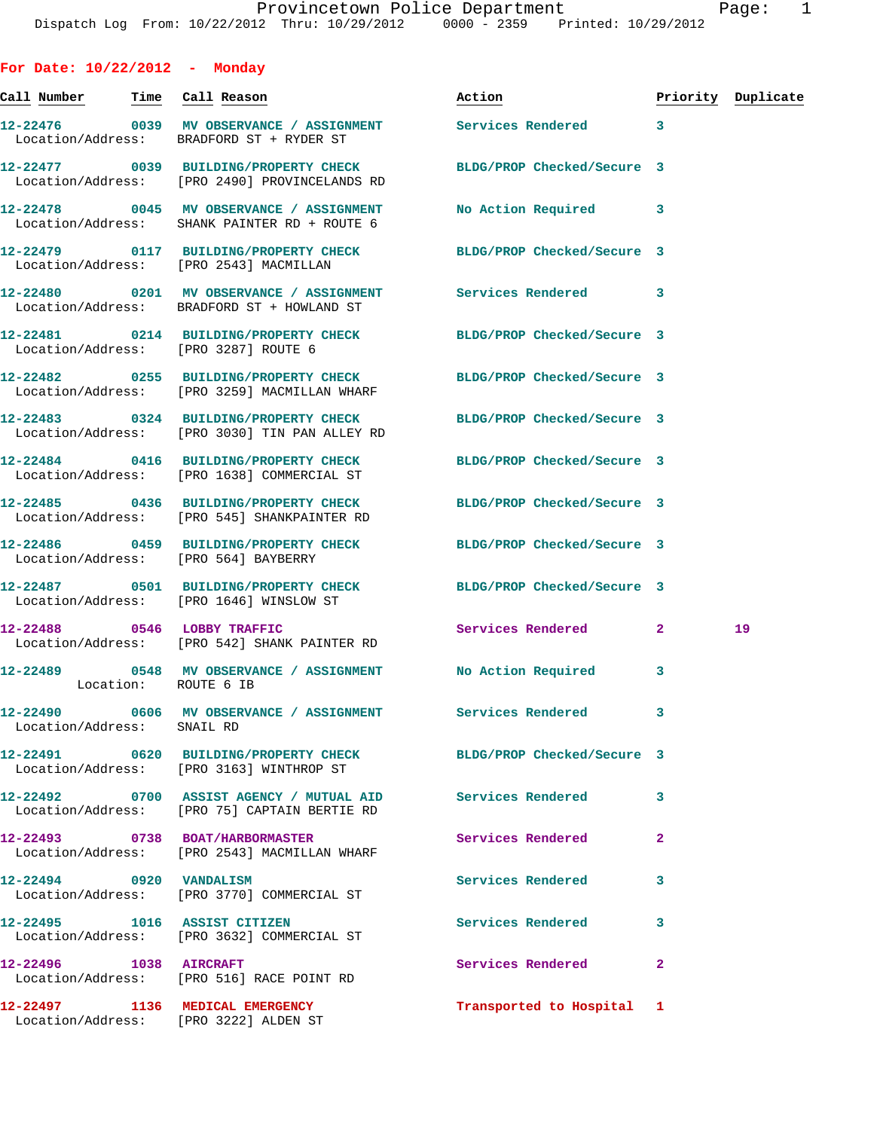**For Date: 10/22/2012 - Monday Call Number Time Call Reason Action Priority Duplicate 12-22476 0039 MV OBSERVANCE / ASSIGNMENT Services Rendered 3**  Location/Address: BRADFORD ST + RYDER ST **12-22477 0039 BUILDING/PROPERTY CHECK BLDG/PROP Checked/Secure 3**  Location/Address: [PRO 2490] PROVINCELANDS RD **12-22478 0045 MV OBSERVANCE / ASSIGNMENT No Action Required 3**  Location/Address: SHANK PAINTER RD + ROUTE 6 **12-22479 0117 BUILDING/PROPERTY CHECK BLDG/PROP Checked/Secure 3**  Location/Address: [PRO 2543] MACMILLAN **12-22480 0201 MV OBSERVANCE / ASSIGNMENT Services Rendered 3**  Location/Address: BRADFORD ST + HOWLAND ST **12-22481 0214 BUILDING/PROPERTY CHECK BLDG/PROP Checked/Secure 3**  Location/Address: [PRO 3287] ROUTE 6 **12-22482 0255 BUILDING/PROPERTY CHECK BLDG/PROP Checked/Secure 3**  Location/Address: [PRO 3259] MACMILLAN WHARF **12-22483 0324 BUILDING/PROPERTY CHECK BLDG/PROP Checked/Secure 3**  Location/Address: [PRO 3030] TIN PAN ALLEY RD **12-22484 0416 BUILDING/PROPERTY CHECK BLDG/PROP Checked/Secure 3**  Location/Address: [PRO 1638] COMMERCIAL ST **12-22485 0436 BUILDING/PROPERTY CHECK BLDG/PROP Checked/Secure 3**  Location/Address: [PRO 545] SHANKPAINTER RD **12-22486 0459 BUILDING/PROPERTY CHECK BLDG/PROP Checked/Secure 3**  Location/Address: [PRO 564] BAYBERRY **12-22487 0501 BUILDING/PROPERTY CHECK BLDG/PROP Checked/Secure 3**  Location/Address: [PRO 1646] WINSLOW ST **12-22488 0546 LOBBY TRAFFIC Services Rendered 2 19**  Location/Address: [PRO 542] SHANK PAINTER RD **12-22489 0548 MV OBSERVANCE / ASSIGNMENT No Action Required 3**  Location: ROUTE 6 IB **12-22490 0606 MV OBSERVANCE / ASSIGNMENT Services Rendered 3**  Location/Address: SNAIL RD **12-22491 0620 BUILDING/PROPERTY CHECK BLDG/PROP Checked/Secure 3**  Location/Address: [PRO 3163] WINTHROP ST **12-22492 0700 ASSIST AGENCY / MUTUAL AID Services Rendered 3**  Location/Address: [PRO 75] CAPTAIN BERTIE RD **12-22493 0738 BOAT/HARBORMASTER Services Rendered 2**  Location/Address: [PRO 2543] MACMILLAN WHARF **12-22494 0920 VANDALISM Services Rendered 3**  Location/Address: [PRO 3770] COMMERCIAL ST **12-22495 1016 ASSIST CITIZEN Services Rendered 3**  Location/Address: [PRO 3632] COMMERCIAL ST **12-22496 1038 AIRCRAFT Services Rendered 2**  Location/Address: [PRO 516] RACE POINT RD

**12-22497 1136 MEDICAL EMERGENCY Transported to Hospital 1**  Location/Address: [PRO 3222] ALDEN ST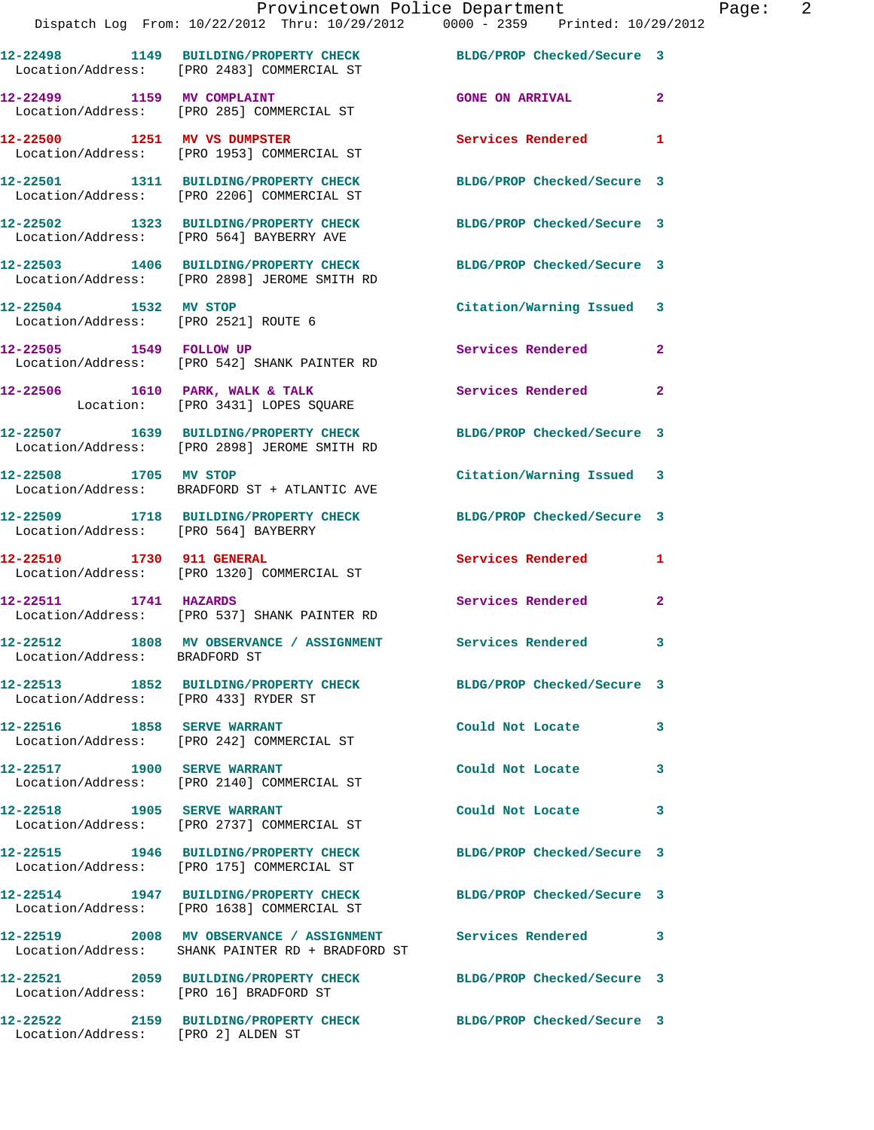| Dispatch Log From: 10/22/2012 Thru: 10/29/2012 0000 - 2359 Printed: 10/29/2012                                   | Provincetown Police Department | Page:          | $\overline{2}$ |
|------------------------------------------------------------------------------------------------------------------|--------------------------------|----------------|----------------|
| 12-22498 1149 BUILDING/PROPERTY CHECK BLDG/PROP Checked/Secure 3<br>Location/Address: [PRO 2483] COMMERCIAL ST   |                                |                |                |
| 12-22499 1159 MV COMPLAINT CONSIDER THE GONE ON ARRIVAL CONSIDER 2<br>Location/Address: [PRO 285] COMMERCIAL ST  |                                |                |                |
| 12-22500 1251 MV VS DUMPSTER Services Rendered 1<br>Location/Address: [PRO 1953] COMMERCIAL ST                   |                                |                |                |
| 12-22501 1311 BUILDING/PROPERTY CHECK BLDG/PROP Checked/Secure 3<br>Location/Address: [PRO 2206] COMMERCIAL ST   |                                |                |                |
| 12-22502 1323 BUILDING/PROPERTY CHECK BLDG/PROP Checked/Secure 3<br>Location/Address: [PRO 564] BAYBERRY AVE     |                                |                |                |
| 12-22503 1406 BUILDING/PROPERTY CHECK BLDG/PROP Checked/Secure 3<br>Location/Address: [PRO 2898] JEROME SMITH RD |                                |                |                |
| 12-22504 1532 MV STOP<br>Location/Address: [PRO 2521] ROUTE 6                                                    | Citation/Warning Issued 3      |                |                |
| 12-22505 1549 FOLLOW UP<br>Location/Address: [PRO 542] SHANK PAINTER RD                                          | Services Rendered              | $\overline{2}$ |                |
| 12-22506 1610 PARK, WALK & TALK Services Rendered<br>Location: [PRO 3431] LOPES SQUARE                           |                                | $\overline{2}$ |                |
| 12-22507 1639 BUILDING/PROPERTY CHECK BLDG/PROP Checked/Secure 3<br>Location/Address: [PRO 2898] JEROME SMITH RD |                                |                |                |
| 12-22508 1705 MV STOP<br>Location/Address: BRADFORD ST + ATLANTIC AVE                                            | Citation/Warning Issued 3      |                |                |
|                                                                                                                  |                                |                |                |

**12-22509 1718 BUILDING/PROPERTY CHECK BLDG/PROP Checked/Secure 3**  Location/Address: [PRO 564] BAYBERRY

**12-22510 1730 911 GENERAL Services Rendered 1**  Location/Address: [PRO 1320] COMMERCIAL ST

**12-22511 1741 HAZARDS Services Rendered 2**  Location/Address: [PRO 537] SHANK PAINTER RD

Location/Address: BRADFORD ST

Location/Address: [PRO 433] RYDER ST

**12-22512 1808 MV OBSERVANCE / ASSIGNMENT Services Rendered 3** 

**12-22516 1858 SERVE WARRANT Could Not Locate 3**  Location/Address: [PRO 242] COMMERCIAL ST

**12-22517 1900 SERVE WARRANT Could Not Locate 3**  Location/Address: [PRO 2140] COMMERCIAL ST

Location/Address: [PRO 2737] COMMERCIAL ST

**12-22515 1946 BUILDING/PROPERTY CHECK BLDG/PROP Checked/Secure 3**  Location/Address: [PRO 175] COMMERCIAL ST

Location/Address: [PRO 1638] COMMERCIAL ST

Location/Address: SHANK PAINTER RD + BRADFORD ST

Location/Address: [PRO 16] BRADFORD ST

**12-22522 2159 BUILDING/PROPERTY CHECK BLDG/PROP Checked/Secure 3**  Location/Address: [PRO 2] ALDEN ST

**12-22513 1852 BUILDING/PROPERTY CHECK BLDG/PROP Checked/Secure 3** 

**12-22518 1905 SERVE WARRANT Could Not Locate 3** 

**12-22514 1947 BUILDING/PROPERTY CHECK BLDG/PROP Checked/Secure 3** 

**12-22519 2008 MV OBSERVANCE / ASSIGNMENT Services Rendered 3** 

**12-22521 2059 BUILDING/PROPERTY CHECK BLDG/PROP Checked/Secure 3**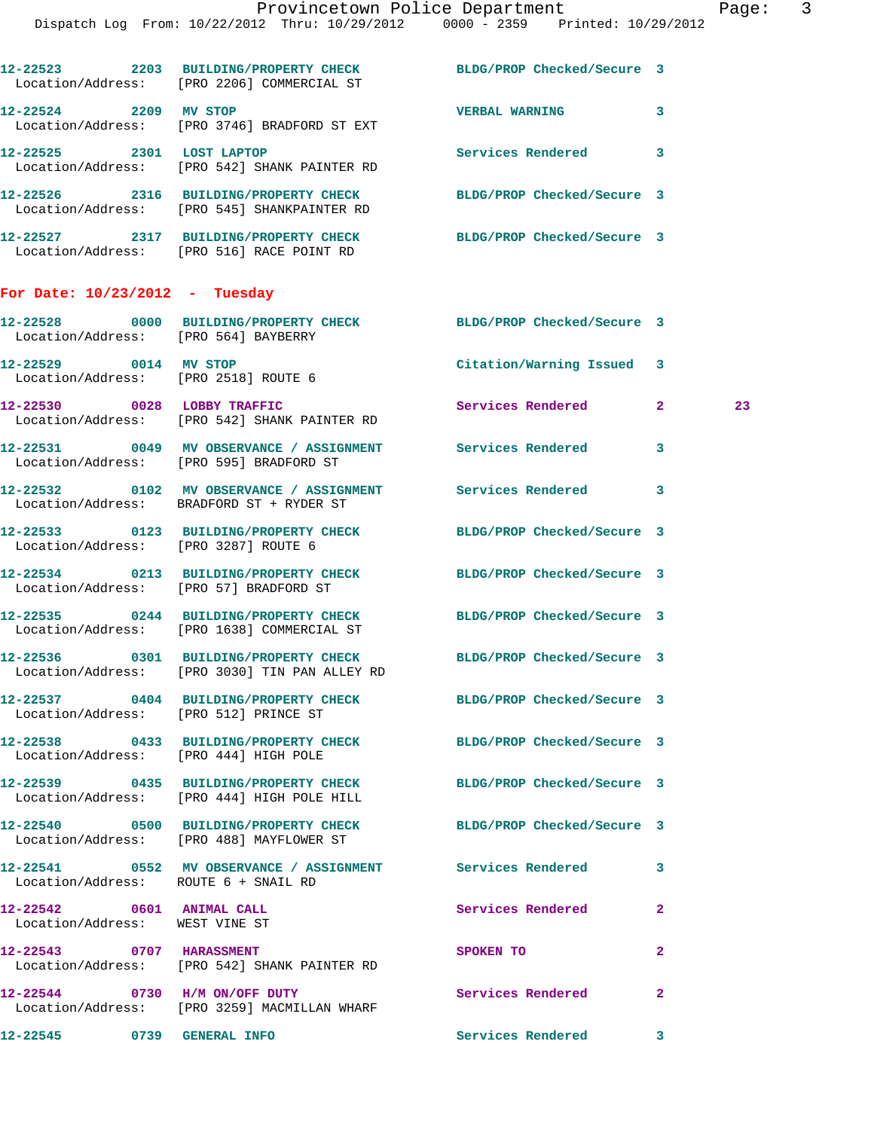|                                                             | DISPACCII DOG FIOM. IV/22/2012 INIU. IV/29/2012                                                                | UUUU - 4339 - FIIIILEU IU/49/4UI4 |              |    |
|-------------------------------------------------------------|----------------------------------------------------------------------------------------------------------------|-----------------------------------|--------------|----|
|                                                             | 12-22523 2203 BUILDING/PROPERTY CHECK BLDG/PROP Checked/Secure 3<br>Location/Address: [PRO 2206] COMMERCIAL ST |                                   |              |    |
| 12-22524 2209 MV STOP                                       | Location/Address: [PRO 3746] BRADFORD ST EXT                                                                   | <b>VERBAL WARNING</b>             | 3            |    |
| 12-22525 2301 LOST LAPTOP                                   | Location/Address: [PRO 542] SHANK PAINTER RD                                                                   | Services Rendered                 | 3            |    |
|                                                             | 12-22526 2316 BUILDING/PROPERTY CHECK<br>Location/Address: [PRO 545] SHANKPAINTER RD                           | BLDG/PROP Checked/Secure 3        |              |    |
|                                                             | 12-22527 2317 BUILDING/PROPERTY CHECK<br>Location/Address: [PRO 516] RACE POINT RD                             | BLDG/PROP Checked/Secure 3        |              |    |
| For Date: $10/23/2012$ - Tuesday                            |                                                                                                                |                                   |              |    |
| Location/Address: [PRO 564] BAYBERRY                        | 12-22528 0000 BUILDING/PROPERTY CHECK BLDG/PROP Checked/Secure 3                                               |                                   |              |    |
| 12-22529 0014 MV STOP                                       | Location/Address: [PRO 2518] ROUTE 6                                                                           | Citation/Warning Issued 3         |              |    |
|                                                             | 12-22530 0028 LOBBY TRAFFIC<br>Location/Address: [PRO 542] SHANK PAINTER RD                                    | <b>Services Rendered</b>          | $\mathbf{2}$ | 23 |
|                                                             | 12-22531 0049 MV OBSERVANCE / ASSIGNMENT Services Rendered<br>Location/Address: [PRO 595] BRADFORD ST          |                                   | 3            |    |
|                                                             | 12-22532 0102 MV OBSERVANCE / ASSIGNMENT Services Rendered<br>Location/Address: BRADFORD ST + RYDER ST         |                                   | 3            |    |
| Location/Address: [PRO 3287] ROUTE 6                        | 12-22533 0123 BUILDING/PROPERTY CHECK BLDG/PROP Checked/Secure 3                                               |                                   |              |    |
| Location/Address: [PRO 57] BRADFORD ST                      | 12-22534 0213 BUILDING/PROPERTY CHECK                                                                          | BLDG/PROP Checked/Secure 3        |              |    |
|                                                             | 12-22535 0244 BUILDING/PROPERTY CHECK<br>Location/Address: [PRO 1638] COMMERCIAL ST                            | BLDG/PROP Checked/Secure 3        |              |    |
|                                                             | 12-22536 0301 BUILDING/PROPERTY CHECK<br>Location/Address: [PRO 3030] TIN PAN ALLEY RD                         | BLDG/PROP Checked/Secure 3        |              |    |
| Location/Address: [PRO 512] PRINCE ST                       | 12-22537 0404 BUILDING/PROPERTY CHECK BLDG/PROP Checked/Secure 3                                               |                                   |              |    |
| Location/Address: [PRO 444] HIGH POLE                       | 12-22538 0433 BUILDING/PROPERTY CHECK                                                                          | BLDG/PROP Checked/Secure 3        |              |    |
|                                                             | 12-22539 0435 BUILDING/PROPERTY CHECK BLDG/PROP Checked/Secure 3<br>Location/Address: [PRO 444] HIGH POLE HILL |                                   |              |    |
|                                                             | 12-22540 0500 BUILDING/PROPERTY CHECK<br>Location/Address: [PRO 488] MAYFLOWER ST                              | BLDG/PROP Checked/Secure 3        |              |    |
| Location/Address: ROUTE 6 + SNAIL RD                        | 12-22541 0552 MV OBSERVANCE / ASSIGNMENT Services Rendered                                                     |                                   | 3            |    |
| 12-22542 0601 ANIMAL CALL<br>Location/Address: WEST VINE ST |                                                                                                                | Services Rendered                 | 2            |    |
| 12-22543 0707 HARASSMENT                                    | Location/Address: [PRO 542] SHANK PAINTER RD                                                                   | SPOKEN TO                         | 2            |    |
|                                                             | 12-22544 0730 H/M ON/OFF DUTY<br>Location/Address: [PRO 3259] MACMILLAN WHARF                                  | Services Rendered                 | 2            |    |
| 12-22545 0739 GENERAL INFO                                  |                                                                                                                | Services Rendered 3               |              |    |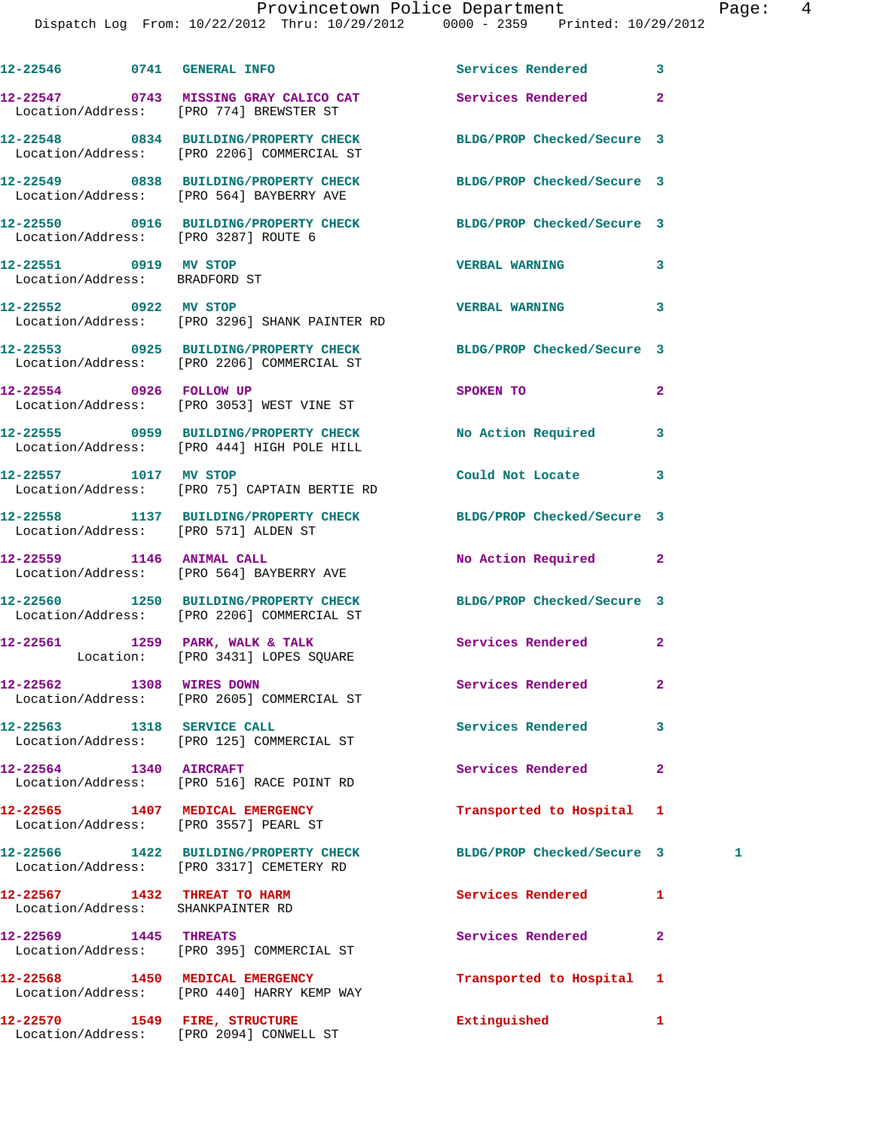|                                                                          | 12-22546 0741 GENERAL INFO Services Rendered                                                                   |                            | 3              |   |
|--------------------------------------------------------------------------|----------------------------------------------------------------------------------------------------------------|----------------------------|----------------|---|
|                                                                          | 12-22547 0743 MISSING GRAY CALICO CAT Services Rendered<br>Location/Address: [PRO 774] BREWSTER ST             |                            | $\overline{a}$ |   |
|                                                                          | 12-22548 0834 BUILDING/PROPERTY CHECK BLDG/PROP Checked/Secure 3<br>Location/Address: [PRO 2206] COMMERCIAL ST |                            |                |   |
|                                                                          | 12-22549 0838 BUILDING/PROPERTY CHECK BLDG/PROP Checked/Secure 3<br>Location/Address: [PRO 564] BAYBERRY AVE   |                            |                |   |
| Location/Address: [PRO 3287] ROUTE 6                                     | 12-22550 0916 BUILDING/PROPERTY CHECK BLDG/PROP Checked/Secure 3                                               |                            |                |   |
| 12-22551 0919 MV STOP<br>Location/Address: BRADFORD ST                   |                                                                                                                | <b>VERBAL WARNING</b>      | 3              |   |
| 12-22552 0922 MV STOP                                                    | Location/Address: [PRO 3296] SHANK PAINTER RD                                                                  | <b>VERBAL WARNING</b>      | 3              |   |
|                                                                          | 12-22553 0925 BUILDING/PROPERTY CHECK BLDG/PROP Checked/Secure 3<br>Location/Address: [PRO 2206] COMMERCIAL ST |                            |                |   |
|                                                                          | 12-22554 0926 FOLLOW UP<br>Location/Address: [PRO 3053] WEST VINE ST                                           | SPOKEN TO                  | $\overline{a}$ |   |
|                                                                          | 12-22555 0959 BUILDING/PROPERTY CHECK No Action Required<br>Location/Address: [PRO 444] HIGH POLE HILL         |                            | 3              |   |
|                                                                          | 12-22557 1017 MV STOP<br>Location/Address: [PRO 75] CAPTAIN BERTIE RD                                          | Could Not Locate           | 3              |   |
| Location/Address: [PRO 571] ALDEN ST                                     | 12-22558 1137 BUILDING/PROPERTY CHECK BLDG/PROP Checked/Secure 3                                               |                            |                |   |
|                                                                          | 12-22559 1146 ANIMAL CALL<br>Location/Address: [PRO 564] BAYBERRY AVE                                          | No Action Required         | $\mathbf{2}$   |   |
|                                                                          | 12-22560 1250 BUILDING/PROPERTY CHECK BLDG/PROP Checked/Secure 3<br>Location/Address: [PRO 2206] COMMERCIAL ST |                            |                |   |
|                                                                          | 12-22561 1259 PARK, WALK & TALK<br>Location: [PRO 3431] LOPES SQUARE                                           | Services Rendered          | $\mathbf{2}$   |   |
| 12-22562 1308 WIRES DOWN                                                 | Location/Address: [PRO 2605] COMMERCIAL ST                                                                     | Services Rendered          | 2              |   |
| 12-22563 1318 SERVICE CALL                                               | Location/Address: [PRO 125] COMMERCIAL ST                                                                      | Services Rendered          | 3              |   |
| 12-22564 1340 AIRCRAFT                                                   | Location/Address: [PRO 516] RACE POINT RD                                                                      | Services Rendered          | $\mathbf{2}$   |   |
| 12-22565 1407 MEDICAL EMERGENCY<br>Location/Address: [PRO 3557] PEARL ST |                                                                                                                | Transported to Hospital    | 1              |   |
|                                                                          | 12-22566 1422 BUILDING/PROPERTY CHECK<br>Location/Address: [PRO 3317] CEMETERY RD                              | BLDG/PROP Checked/Secure 3 |                | 1 |
| 12-22567 1432 THREAT TO HARM<br>Location/Address: SHANKPAINTER RD        |                                                                                                                | Services Rendered          | 1              |   |
| 12-22569 1445 THREATS                                                    | Location/Address: [PRO 395] COMMERCIAL ST                                                                      | Services Rendered          | $\mathbf{2}$   |   |
|                                                                          | 12-22568 1450 MEDICAL EMERGENCY<br>Location/Address: [PRO 440] HARRY KEMP WAY                                  | Transported to Hospital    | 1              |   |
| 12-22570 1549 FIRE, STRUCTURE                                            | Location/Address: [PRO 2094] CONWELL ST                                                                        | Extinguished               | 1              |   |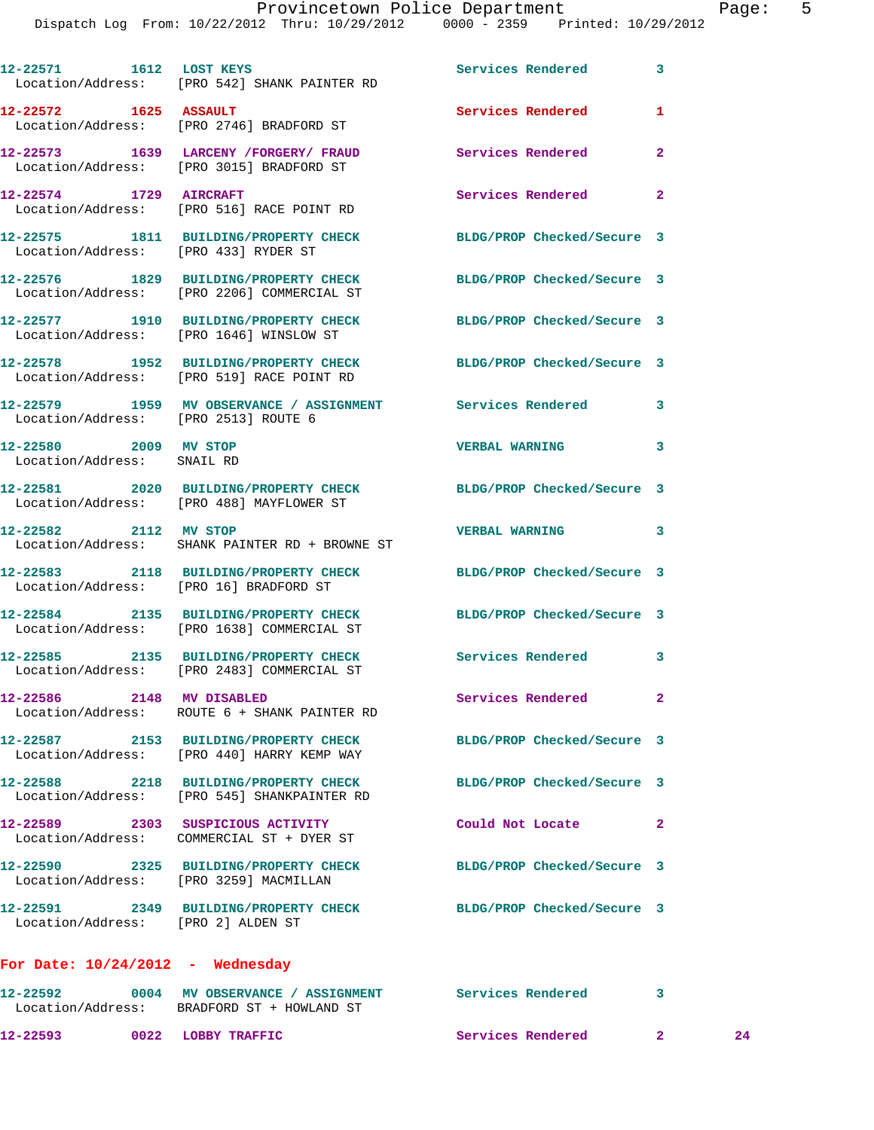|                                                     | 12-22571 1612 LOST KEYS<br>Location/Address: [PRO 542] SHANK PAINTER RD                                                     | Services Rendered                    | $\mathbf{3}$               |
|-----------------------------------------------------|-----------------------------------------------------------------------------------------------------------------------------|--------------------------------------|----------------------------|
|                                                     | Location/Address: [PRO 2746] BRADFORD ST                                                                                    | Services Rendered                    | 1                          |
|                                                     | 12-22573 1639 LARCENY / FORGERY / FRAUD<br>Location/Address: [PRO 3015] BRADFORD ST                                         | <b>Services Rendered</b>             | $\overline{a}$             |
| 12-22574 1729 AIRCRAFT                              | Location/Address: [PRO 516] RACE POINT RD                                                                                   | Services Rendered                    | $\overline{\phantom{0}}$ 2 |
| Location/Address: [PRO 433] RYDER ST                | 12-22575 1811 BUILDING/PROPERTY CHECK                                                                                       | BLDG/PROP Checked/Secure 3           |                            |
|                                                     | 12-22576 1829 BUILDING/PROPERTY CHECK<br>Location/Address: [PRO 2206] COMMERCIAL ST                                         | BLDG/PROP Checked/Secure 3           |                            |
|                                                     | 12-22577 1910 BUILDING/PROPERTY CHECK<br>Location/Address: [PRO 1646] WINSLOW ST                                            | BLDG/PROP Checked/Secure 3           |                            |
|                                                     | 12-22578 1952 BUILDING/PROPERTY CHECK<br>Location/Address: [PRO 519] RACE POINT RD                                          | BLDG/PROP Checked/Secure 3           |                            |
| Location/Address: [PRO 2513] ROUTE 6                | 12-22579 1959 MV OBSERVANCE / ASSIGNMENT Services Rendered 3                                                                |                                      |                            |
| 12-22580 2009 MV STOP<br>Location/Address: SNAIL RD |                                                                                                                             | <b>VERBAL WARNING</b>                | 3                          |
|                                                     | 12-22581 2020 BUILDING/PROPERTY CHECK<br>Location/Address: [PRO 488] MAYFLOWER ST                                           | BLDG/PROP Checked/Secure 3           |                            |
| 12-22582 2112 MV STOP                               | Location/Address: SHANK PAINTER RD + BROWNE ST                                                                              | <b>VERBAL WARNING</b>                | 3                          |
| Location/Address: [PRO 16] BRADFORD ST              | 12-22583 2118 BUILDING/PROPERTY CHECK                                                                                       | BLDG/PROP Checked/Secure 3           |                            |
|                                                     | 12-22584 2135 BUILDING/PROPERTY CHECK<br>Location/Address: [PRO 1638] COMMERCIAL ST                                         | BLDG/PROP Checked/Secure 3           |                            |
|                                                     | 12-22585 2135 BUILDING/PROPERTY CHECK<br>Location/Address: [PRO 2483] COMMERCIAL ST                                         | Services Rendered 3                  |                            |
| 12-22586 2148 MV DISABLED                           | Location/Address: ROUTE 6 + SHANK PAINTER RD                                                                                | Services Rendered 2                  |                            |
|                                                     | 12-22587 2153 BUILDING/PROPERTY CHECK BLDG/PROP Checked/Secure 3<br>Location/Address: [PRO 440] HARRY KEMP WAY              |                                      |                            |
|                                                     | 12-22588 2218 BUILDING/PROPERTY CHECK<br>Location/Address: [PRO 545] SHANKPAINTER RD                                        | BLDG/PROP Checked/Secure 3           |                            |
|                                                     | 12-22589 2303 SUSPICIOUS ACTIVITY<br>Location/Address: COMMERCIAL ST + DYER ST                                              | Could Not Locate 2                   |                            |
| Location/Address: [PRO 3259] MACMILLAN              | 12-22590 2325 BUILDING/PROPERTY CHECK BLDG/PROP Checked/Secure 3                                                            |                                      |                            |
|                                                     |                                                                                                                             | BLDG/PROP Checked/Secure 3           |                            |
| For Date: $10/24/2012$ - Wednesday                  |                                                                                                                             |                                      |                            |
|                                                     | 12-22592      0004   MV OBSERVANCE / ASSIGNMENT      Services Rendered      3<br>Location/Address: BRADFORD ST + HOWLAND ST |                                      |                            |
| 12-22593 0022 LOBBY TRAFFIC                         |                                                                                                                             | <b>Services Rendered 22 Services</b> |                            |

12-22593 0022 LOBBY TRAFFIC Services Rendered 2 24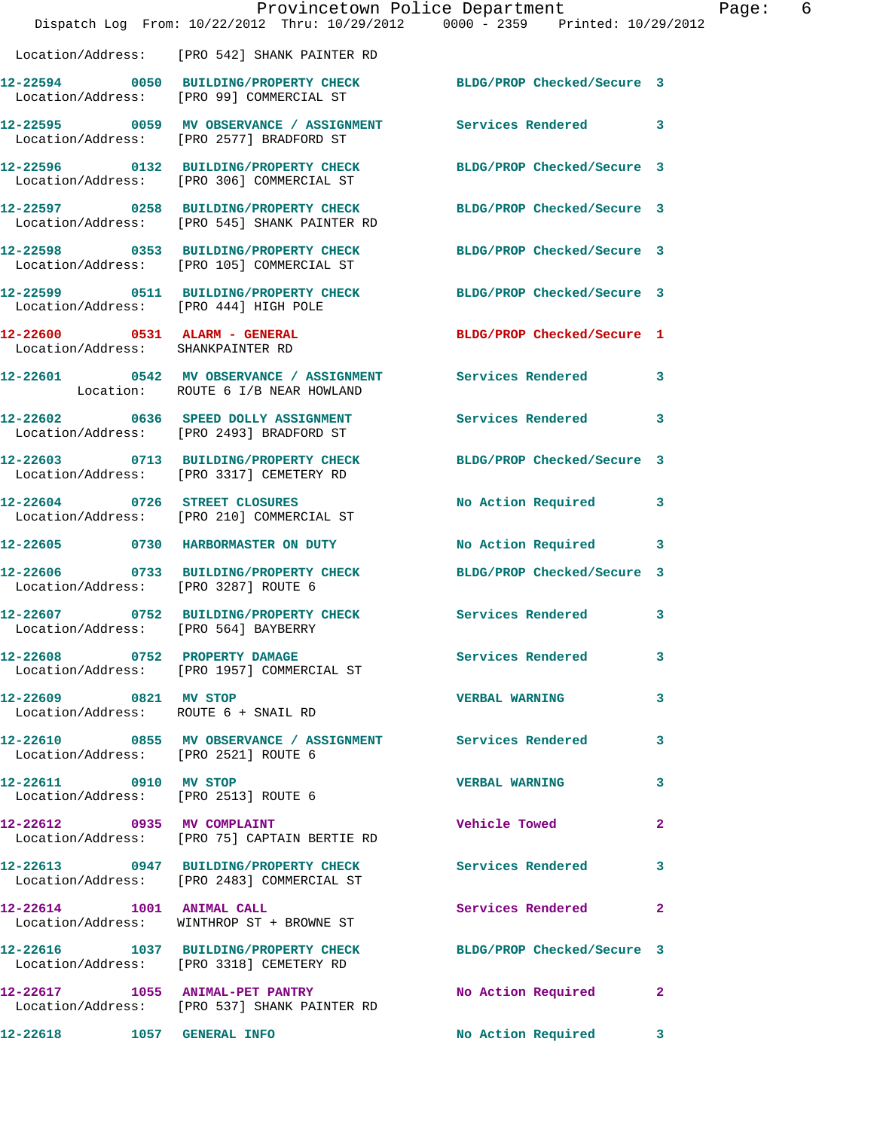|                                                                    | Dispatch Log From: 10/22/2012 Thru: 10/29/2012 0000 - 2359 Printed: 10/29/2012                                   | Provincetown Police Department | Page: 6      |
|--------------------------------------------------------------------|------------------------------------------------------------------------------------------------------------------|--------------------------------|--------------|
|                                                                    | Location/Address: [PRO 542] SHANK PAINTER RD                                                                     |                                |              |
|                                                                    | 12-22594 0050 BUILDING/PROPERTY CHECK BLDG/PROP Checked/Secure 3<br>Location/Address: [PRO 99] COMMERCIAL ST     |                                |              |
|                                                                    | 12-22595 0059 MV OBSERVANCE / ASSIGNMENT Services Rendered 3<br>Location/Address: [PRO 2577] BRADFORD ST         |                                |              |
|                                                                    | 12-22596 0132 BUILDING/PROPERTY CHECK BLDG/PROP Checked/Secure 3<br>Location/Address: [PRO 306] COMMERCIAL ST    |                                |              |
|                                                                    | 12-22597 0258 BUILDING/PROPERTY CHECK BLDG/PROP Checked/Secure 3<br>Location/Address: [PRO 545] SHANK PAINTER RD |                                |              |
|                                                                    | 12-22598 0353 BUILDING/PROPERTY CHECK BLDG/PROP Checked/Secure 3<br>Location/Address: [PRO 105] COMMERCIAL ST    |                                |              |
|                                                                    | 12-22599 0511 BUILDING/PROPERTY CHECK BLDG/PROP Checked/Secure 3<br>Location/Address: [PRO 444] HIGH POLE        |                                |              |
| 12-22600 0531 ALARM - GENERAL<br>Location/Address: SHANKPAINTER RD |                                                                                                                  | BLDG/PROP Checked/Secure 1     |              |
|                                                                    | 12-22601 0542 MV OBSERVANCE / ASSIGNMENT Services Rendered 3<br>Location: ROUTE 6 I/B NEAR HOWLAND               |                                |              |
|                                                                    | 12-22602 0636 SPEED DOLLY ASSIGNMENT<br>Location/Address: [PRO 2493] BRADFORD ST                                 | Services Rendered 3            |              |
|                                                                    | 12-22603 0713 BUILDING/PROPERTY CHECK BLDG/PROP Checked/Secure 3<br>Location/Address: [PRO 3317] CEMETERY RD     |                                |              |
|                                                                    | 12-22604 0726 STREET CLOSURES<br>Location/Address: [PRO 210] COMMERCIAL ST                                       | No Action Required 3           |              |
|                                                                    | 12-22605 0730 HARBORMASTER ON DUTY                                                                               | No Action Required 3           |              |
| Location/Address: [PRO 3287] ROUTE 6                               | 12-22606 0733 BUILDING/PROPERTY CHECK BLDG/PROP Checked/Secure 3                                                 |                                |              |
| Location/Address: [PRO 564] BAYBERRY                               | 12-22607 0752 BUILDING/PROPERTY CHECK Services Rendered 3                                                        |                                |              |
|                                                                    | 12-22608 0752 PROPERTY DAMAGE<br>Location/Address: [PRO 1957] COMMERCIAL ST                                      | <b>Services Rendered</b> 3     |              |
| 12-22609 0821 MV STOP<br>Location/Address: ROUTE 6 + SNAIL RD      |                                                                                                                  | <b>VERBAL WARNING</b>          | 3            |
| Location/Address: [PRO 2521] ROUTE 6                               | 12-22610 0855 MV OBSERVANCE / ASSIGNMENT Services Rendered 3                                                     |                                |              |
| 12-22611 0910 MV STOP<br>Location/Address: [PRO 2513] ROUTE 6      |                                                                                                                  | <b>VERBAL WARNING</b>          | 3            |
| 12-22612 0935 MV COMPLAINT                                         | Location/Address: [PRO 75] CAPTAIN BERTIE RD                                                                     | Vehicle Towed <b>Seat 1996</b> | $\mathbf{2}$ |
|                                                                    | 12-22613 0947 BUILDING/PROPERTY CHECK Services Rendered<br>Location/Address: [PRO 2483] COMMERCIAL ST            |                                | 3            |
| 12-22614 1001 ANIMAL CALL                                          | Location/Address: WINTHROP ST + BROWNE ST                                                                        | Services Rendered              | $\mathbf{2}$ |
|                                                                    | 12-22616 1037 BUILDING/PROPERTY CHECK BLDG/PROP Checked/Secure 3<br>Location/Address: [PRO 3318] CEMETERY RD     |                                |              |
|                                                                    | 12-22617 1055 ANIMAL-PET PANTRY<br>Location/Address: [PRO 537] SHANK PAINTER RD                                  | No Action Required             | $\mathbf{2}$ |
|                                                                    |                                                                                                                  | No Action Required 3           |              |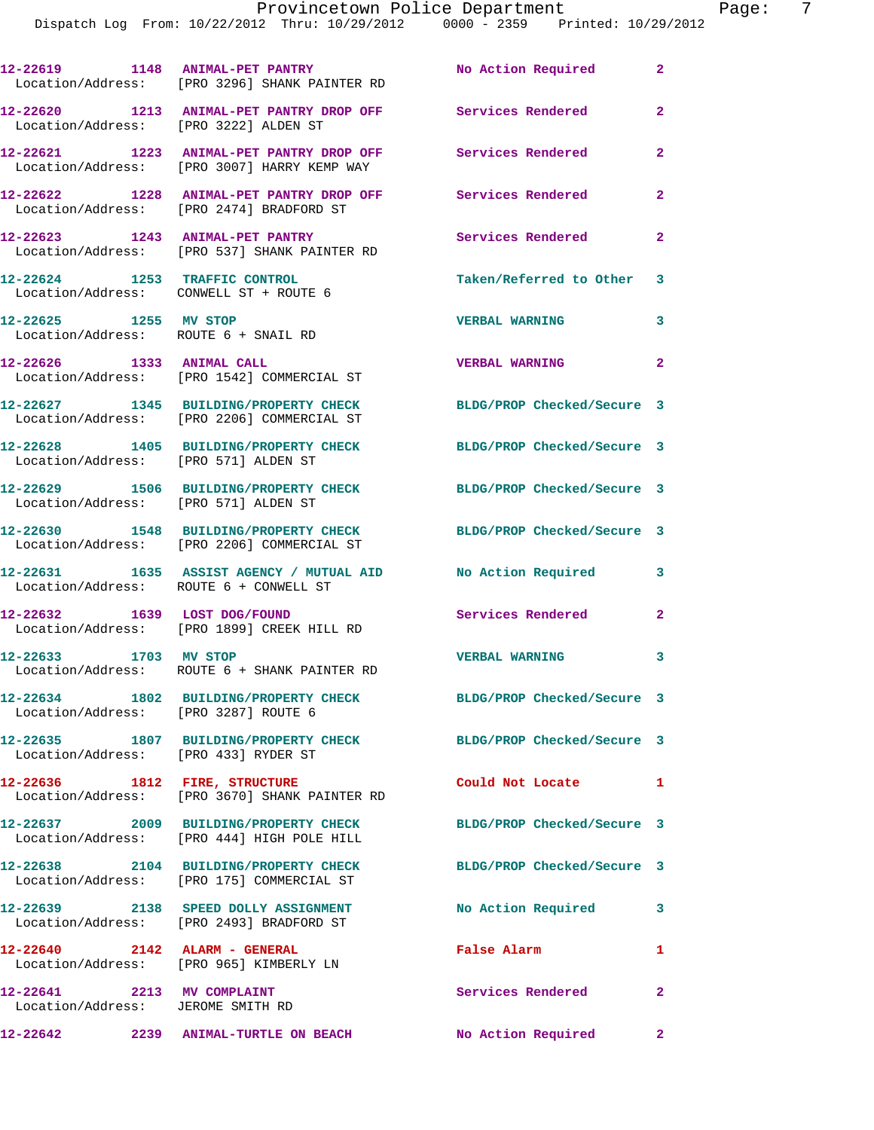|                                                                 | 12-22619 1148 ANIMAL-PET PANTRY<br>Location/Address: [PRO 3296] SHANK PAINTER RD                       | No Action Required         | $\mathbf{2}$            |
|-----------------------------------------------------------------|--------------------------------------------------------------------------------------------------------|----------------------------|-------------------------|
|                                                                 | 12-22620 1213 ANIMAL-PET PANTRY DROP OFF Services Rendered<br>Location/Address: [PRO 3222] ALDEN ST    |                            | $\overline{a}$          |
|                                                                 | 12-22621 1223 ANIMAL-PET PANTRY DROP OFF<br>Location/Address: [PRO 3007] HARRY KEMP WAY                | Services Rendered          | $\overline{a}$          |
|                                                                 | 12-22622 1228 ANIMAL-PET PANTRY DROP OFF Services Rendered<br>Location/Address: [PRO 2474] BRADFORD ST |                            | $\overline{\mathbf{2}}$ |
|                                                                 | 12-22623 1243 ANIMAL-PET PANTRY<br>Location/Address: [PRO 537] SHANK PAINTER RD                        | Services Rendered          | $\overline{2}$          |
| Location/Address: CONWELL ST + ROUTE 6                          | 12-22624 1253 TRAFFIC CONTROL                                                                          | Taken/Referred to Other 3  |                         |
| 12-22625 1255 MV STOP                                           | Location/Address: ROUTE 6 + SNAIL RD                                                                   | <b>VERBAL WARNING</b>      | 3                       |
| 12-22626 1333 ANIMAL CALL                                       | Location/Address: [PRO 1542] COMMERCIAL ST                                                             | <b>VERBAL WARNING</b>      | $\overline{a}$          |
|                                                                 | 12-22627 1345 BUILDING/PROPERTY CHECK<br>Location/Address: [PRO 2206] COMMERCIAL ST                    | BLDG/PROP Checked/Secure 3 |                         |
| Location/Address: [PRO 571] ALDEN ST                            | 12-22628 1405 BUILDING/PROPERTY CHECK                                                                  | BLDG/PROP Checked/Secure 3 |                         |
| Location/Address: [PRO 571] ALDEN ST                            | 12-22629 1506 BUILDING/PROPERTY CHECK BLDG/PROP Checked/Secure 3                                       |                            |                         |
|                                                                 | 12-22630 1548 BUILDING/PROPERTY CHECK<br>Location/Address: [PRO 2206] COMMERCIAL ST                    | BLDG/PROP Checked/Secure 3 |                         |
| Location/Address: ROUTE 6 + CONWELL ST                          | 12-22631 1635 ASSIST AGENCY / MUTUAL AID No Action Required                                            |                            | 3                       |
|                                                                 | 12-22632 1639 LOST DOG/FOUND<br>Location/Address: [PRO 1899] CREEK HILL RD                             | <b>Services Rendered</b>   | $\overline{a}$          |
| 12-22633 1703 MV STOP                                           | Location/Address: ROUTE 6 + SHANK PAINTER RD                                                           | <b>VERBAL WARNING</b>      | 3                       |
| Location/Address: [PRO 3287] ROUTE 6                            | 12-22634 1802 BUILDING/PROPERTY CHECK                                                                  | BLDG/PROP Checked/Secure 3 |                         |
| Location/Address: [PRO 433] RYDER ST                            | 12-22635 1807 BUILDING/PROPERTY CHECK BLDG/PROP Checked/Secure 3                                       |                            |                         |
|                                                                 | 12-22636 1812 FIRE, STRUCTURE<br>Location/Address: [PRO 3670] SHANK PAINTER RD                         | Could Not Locate           | 1                       |
|                                                                 | 12-22637 2009 BUILDING/PROPERTY CHECK<br>Location/Address: [PRO 444] HIGH POLE HILL                    | BLDG/PROP Checked/Secure 3 |                         |
|                                                                 | 12-22638 2104 BUILDING/PROPERTY CHECK<br>Location/Address: [PRO 175] COMMERCIAL ST                     | BLDG/PROP Checked/Secure 3 |                         |
|                                                                 | 12-22639 2138 SPEED DOLLY ASSIGNMENT<br>Location/Address: [PRO 2493] BRADFORD ST                       | No Action Required         | $\mathbf{3}$            |
|                                                                 | $12-22640$ 2142 ALARM - GENERAL<br>Location/Address: [PRO 965] KIMBERLY LN                             | False Alarm                | 1                       |
| 12-22641 2213 MV COMPLAINT<br>Location/Address: JEROME SMITH RD |                                                                                                        | Services Rendered          | $\overline{2}$          |
| 12-22642                                                        | 2239 ANIMAL-TURTLE ON BEACH                                                                            | No Action Required         | $\mathbf{2}$            |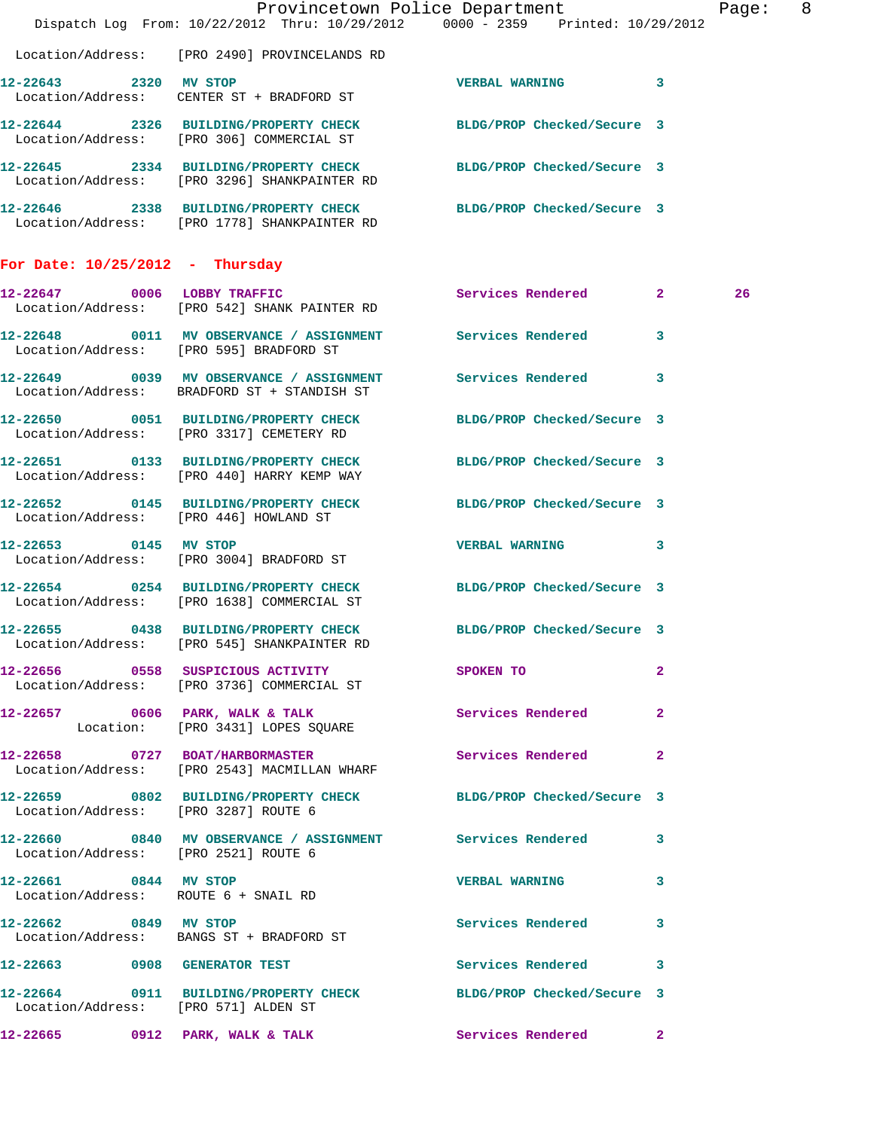|                                        |                                                                                                                  | Provincetown Police Department                                                 | Page: 8 |
|----------------------------------------|------------------------------------------------------------------------------------------------------------------|--------------------------------------------------------------------------------|---------|
|                                        |                                                                                                                  | Dispatch Log From: 10/22/2012 Thru: 10/29/2012 0000 - 2359 Printed: 10/29/2012 |         |
|                                        | Location/Address: [PRO 2490] PROVINCELANDS RD                                                                    |                                                                                |         |
| 12-22643 2320 MV STOP                  | Location/Address: CENTER ST + BRADFORD ST                                                                        | VERBAL WARNING 3                                                               |         |
|                                        | 12-22644 2326 BUILDING/PROPERTY CHECK BLDG/PROP Checked/Secure 3<br>Location/Address: [PRO 306] COMMERCIAL ST    |                                                                                |         |
|                                        | 12-22645 2334 BUILDING/PROPERTY CHECK BLDG/PROP Checked/Secure 3<br>Location/Address: [PRO 3296] SHANKPAINTER RD |                                                                                |         |
|                                        | 12-22646 2338 BUILDING/PROPERTY CHECK BLDG/PROP Checked/Secure 3<br>Location/Address: [PRO 1778] SHANKPAINTER RD |                                                                                |         |
| For Date: $10/25/2012$ - Thursday      |                                                                                                                  |                                                                                |         |
|                                        | 12-22647 0006 LOBBY TRAFFIC<br>Location/Address: [PRO 542] SHANK PAINTER RD                                      | Services Rendered 2                                                            | 26      |
|                                        | 12-22648 0011 MV OBSERVANCE / ASSIGNMENT Services Rendered<br>Location/Address: [PRO 595] BRADFORD ST            | $\mathbf{3}$                                                                   |         |
|                                        | 12-22649 0039 MV OBSERVANCE / ASSIGNMENT Services Rendered<br>Location/Address: BRADFORD ST + STANDISH ST        | 3                                                                              |         |
|                                        | 12-22650 0051 BUILDING/PROPERTY CHECK<br>Location/Address: [PRO 3317] CEMETERY RD                                | BLDG/PROP Checked/Secure 3                                                     |         |
|                                        | 12-22651 0133 BUILDING/PROPERTY CHECK<br>Location/Address: [PRO 440] HARRY KEMP WAY                              | BLDG/PROP Checked/Secure 3                                                     |         |
| Location/Address: [PRO 446] HOWLAND ST | 12-22652 0145 BUILDING/PROPERTY CHECK BLDG/PROP Checked/Secure 3                                                 |                                                                                |         |
| 12-22653 0145 MV STOP                  | Location/Address: [PRO 3004] BRADFORD ST                                                                         | VERBAL WARNING 3                                                               |         |
|                                        | 12-22654 0254 BUILDING/PROPERTY CHECK BLDG/PROP Checked/Secure 3<br>Location/Address: [PRO 1638] COMMERCIAL ST   |                                                                                |         |
|                                        | 12-22655 0438 BUILDING/PROPERTY CHECK<br>Location/Address: [PRO 545] SHANKPAINTER RD                             | BLDG/PROP Checked/Secure 3                                                     |         |
|                                        | 12-22656 0558 SUSPICIOUS ACTIVITY SPOKEN TO<br>Location/Address: [PRO 3736] COMMERCIAL ST                        | $\mathbf{2}$                                                                   |         |
|                                        | 12-22657 0606 PARK, WALK & TALK<br>Location: [PRO 3431] LOPES SQUARE                                             | Services Rendered 2                                                            |         |
|                                        | 12-22658 0727 BOAT/HARBORMASTER<br>Location/Address: [PRO 2543] MACMILLAN WHARF                                  | Services Rendered 2                                                            |         |
| Location/Address: [PRO 3287] ROUTE 6   | 12-22659 0802 BUILDING/PROPERTY CHECK BLDG/PROP Checked/Secure 3                                                 |                                                                                |         |
| Location/Address: [PRO 2521] ROUTE 6   | 12-22660 0840 MV OBSERVANCE / ASSIGNMENT Services Rendered 3                                                     |                                                                                |         |
| 12-22661 0844 MV STOP                  | Location/Address: ROUTE 6 + SNAIL RD                                                                             | VERBAL WARNING 3                                                               |         |
| 12-22662 0849 MV STOP                  | Location/Address: BANGS ST + BRADFORD ST                                                                         | Services Rendered 3                                                            |         |
|                                        | 12-22663 0908 GENERATOR TEST                                                                                     | Services Rendered 3                                                            |         |
| Location/Address: [PRO 571] ALDEN ST   | 12-22664 0911 BUILDING/PROPERTY CHECK BLDG/PROP Checked/Secure 3                                                 |                                                                                |         |
|                                        | 12-22665 0912 PARK, WALK & TALK                                                                                  | Services Rendered 2                                                            |         |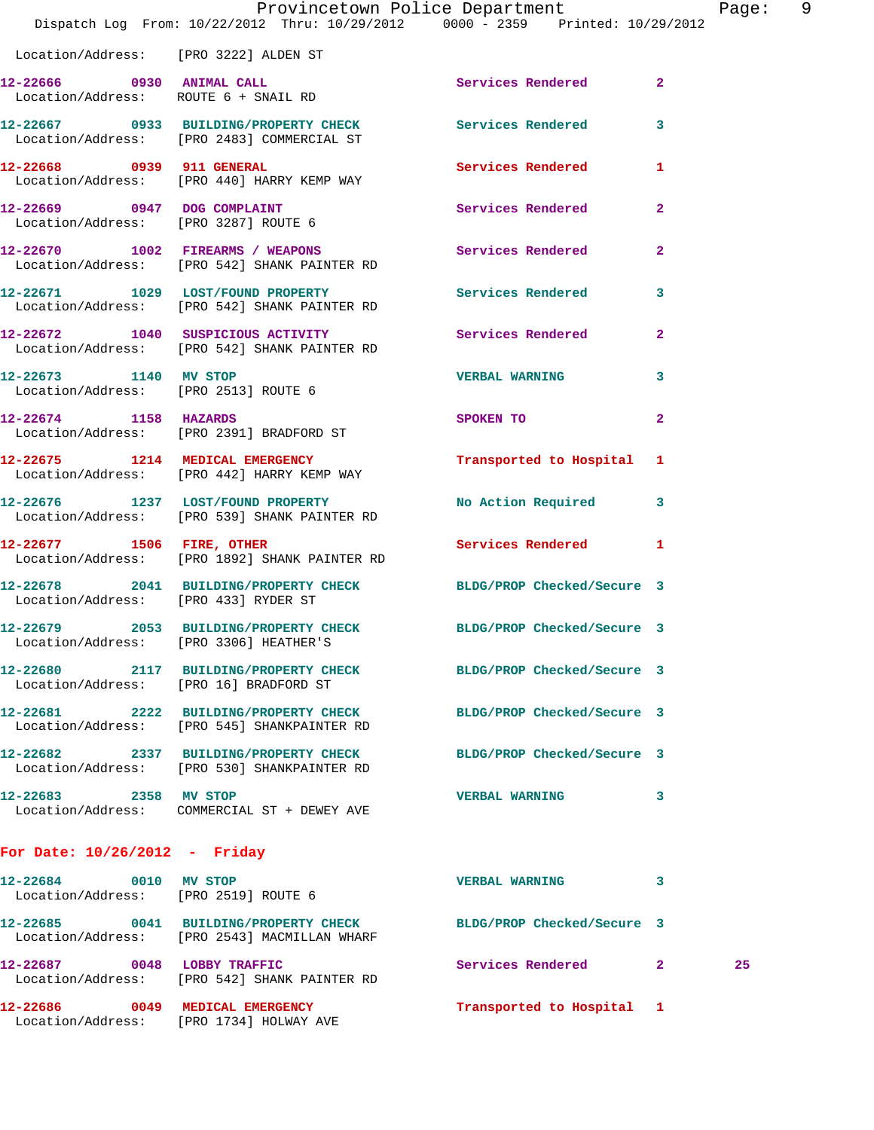|                                        | Provincetown Police Department                                                       |                            |                         |
|----------------------------------------|--------------------------------------------------------------------------------------|----------------------------|-------------------------|
|                                        | Dispatch Log From: 10/22/2012 Thru: 10/29/2012 0000 - 2359 Printed: 10/29/2012       |                            |                         |
| Location/Address: [PRO 3222] ALDEN ST  |                                                                                      |                            |                         |
| 12-22666 0930 ANIMAL CALL              | Location/Address: ROUTE 6 + SNAIL RD                                                 | Services Rendered          | $\mathbf{2}$            |
|                                        | 12-22667 0933 BUILDING/PROPERTY CHECK<br>Location/Address: [PRO 2483] COMMERCIAL ST  | Services Rendered          | 3                       |
|                                        | 12-22668 0939 911 GENERAL<br>Location/Address: [PRO 440] HARRY KEMP WAY              | Services Rendered          | 1                       |
|                                        | 12-22669 0947 DOG COMPLAINT<br>Location/Address: [PRO 3287] ROUTE 6                  | Services Rendered          | $\overline{a}$          |
|                                        | 12-22670 1002 FIREARMS / WEAPONS<br>Location/Address: [PRO 542] SHANK PAINTER RD     | Services Rendered          | $\overline{a}$          |
|                                        | 12-22671 1029 LOST/FOUND PROPERTY<br>Location/Address: [PRO 542] SHANK PAINTER RD    | <b>Services Rendered</b>   | 3                       |
|                                        | 12-22672 1040 SUSPICIOUS ACTIVITY<br>Location/Address: [PRO 542] SHANK PAINTER RD    | Services Rendered          | $\overline{\mathbf{2}}$ |
| 12-22673 1140 MV STOP                  | Location/Address: [PRO 2513] ROUTE 6                                                 | <b>VERBAL WARNING</b>      | 3                       |
| 12-22674 1158 HAZARDS                  | Location/Address: [PRO 2391] BRADFORD ST                                             | SPOKEN TO                  | $\overline{\mathbf{2}}$ |
|                                        | 12-22675 1214 MEDICAL EMERGENCY<br>Location/Address: [PRO 442] HARRY KEMP WAY        | Transported to Hospital    | 1                       |
|                                        | 12-22676 1237 LOST/FOUND PROPERTY<br>Location/Address: [PRO 539] SHANK PAINTER RD    | No Action Required         | 3                       |
| 12-22677 1506 FIRE, OTHER              | Location/Address: [PRO 1892] SHANK PAINTER RD                                        | Services Rendered          | 1                       |
| Location/Address: [PRO 433] RYDER ST   | 12-22678 2041 BUILDING/PROPERTY CHECK BLDG/PROP Checked/Secure 3                     |                            |                         |
|                                        | 12-22679 2053 BUILDING/PROPERTY CHECK<br>Location/Address: [PRO 3306] HEATHER'S      | BLDG/PROP Checked/Secure 3 |                         |
| Location/Address: [PRO 16] BRADFORD ST | 12-22680 2117 BUILDING/PROPERTY CHECK                                                | BLDG/PROP Checked/Secure 3 |                         |
|                                        | 12-22681 2222 BUILDING/PROPERTY CHECK<br>Location/Address: [PRO 545] SHANKPAINTER RD | BLDG/PROP Checked/Secure 3 |                         |
|                                        | 12-22682 2337 BUILDING/PROPERTY CHECK<br>Location/Address: [PRO 530] SHANKPAINTER RD | BLDG/PROP Checked/Secure 3 |                         |
| 2358 MV STOP<br>12-22683               | Location/Address: COMMERCIAL ST + DEWEY AVE                                          | <b>VERBAL WARNING</b>      | 3                       |
| For Date: $10/26/2012$ - Friday        |                                                                                      |                            |                         |

Page: 9

| 12-22684<br>Location/Address: | 0010 | MV STOP<br>[PRO 2519] ROUTE 6                                                  | <b>VERBAL WARNING</b>      |    |
|-------------------------------|------|--------------------------------------------------------------------------------|----------------------------|----|
| 12-22685                      | 0041 | <b>BUILDING/PROPERTY CHECK</b><br>Location/Address: [PRO 2543] MACMILLAN WHARF | BLDG/PROP Checked/Secure 3 |    |
| 12-22687                      | 0048 | LOBBY TRAFFIC<br>Location/Address: [PRO 542] SHANK PAINTER RD                  | Services Rendered          | 25 |
| 12-22686<br>Location/Address: | 0049 | MEDICAL EMERGENCY<br>[PRO 1734] HOLWAY AVE                                     | Transported to Hospital 1  |    |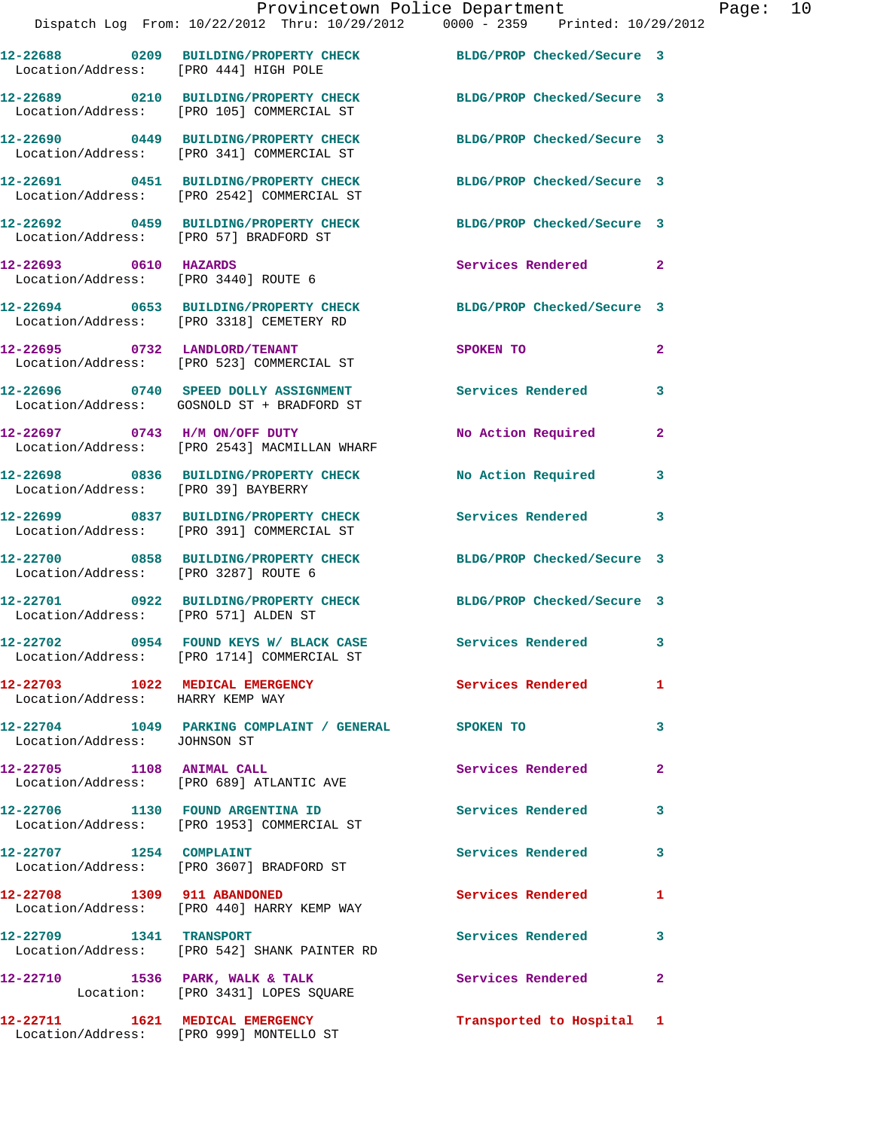|                                        | Provincetown Police Department Fage: 10<br>Dispatch Log From: 10/22/2012 Thru: 10/29/2012 0000 - 2359 Printed: 10/29/2012 |                            |              |
|----------------------------------------|---------------------------------------------------------------------------------------------------------------------------|----------------------------|--------------|
| Location/Address: [PRO 444] HIGH POLE  | 12-22688 0209 BUILDING/PROPERTY CHECK BLDG/PROP Checked/Secure 3                                                          |                            |              |
|                                        | 12-22689 0210 BUILDING/PROPERTY CHECK BLDG/PROP Checked/Secure 3<br>Location/Address: [PRO 105] COMMERCIAL ST             |                            |              |
|                                        | 12-22690 0449 BUILDING/PROPERTY CHECK BLDG/PROP Checked/Secure 3<br>Location/Address: [PRO 341] COMMERCIAL ST             |                            |              |
|                                        | 12-22691 0451 BUILDING/PROPERTY CHECK BLDG/PROP Checked/Secure 3<br>Location/Address: [PRO 2542] COMMERCIAL ST            |                            |              |
| Location/Address: [PRO 57] BRADFORD ST | 12-22692 0459 BUILDING/PROPERTY CHECK BLDG/PROP Checked/Secure 3                                                          |                            |              |
| 12-22693 0610 HAZARDS                  | Location/Address: [PRO 3440] ROUTE 6                                                                                      | Services Rendered 2        |              |
|                                        | 12-22694 0653 BUILDING/PROPERTY CHECK BLDG/PROP Checked/Secure 3<br>Location/Address: [PRO 3318] CEMETERY RD              |                            |              |
|                                        | 12-22695 0732 LANDLORD/TENANT<br>Location/Address: [PRO 523] COMMERCIAL ST                                                | SPOKEN TO                  | $\mathbf{2}$ |
|                                        | 12-22696 0740 SPEED DOLLY ASSIGNMENT Services Rendered<br>Location/Address: GOSNOLD ST + BRADFORD ST                      |                            | 3            |
|                                        | 12-22697 0743 H/M ON/OFF DUTY<br>Location/Address: [PRO 2543] MACMILLAN WHARF                                             | No Action Required         | $\mathbf{2}$ |
| Location/Address: [PRO 39] BAYBERRY    | 12-22698 0836 BUILDING/PROPERTY CHECK No Action Required                                                                  |                            | $\mathbf{3}$ |
|                                        | 12-22699 0837 BUILDING/PROPERTY CHECK Services Rendered 3<br>Location/Address: [PRO 391] COMMERCIAL ST                    |                            |              |
| Location/Address: [PRO 3287] ROUTE 6   | 12-22700 0858 BUILDING/PROPERTY CHECK BLDG/PROP Checked/Secure 3                                                          |                            |              |
| Location/Address: [PRO 571] ALDEN ST   | 12-22701 0922 BUILDING/PROPERTY CHECK BLDG/PROP Checked/Secure 3                                                          |                            |              |
|                                        | 12-22702 0954 FOUND KEYS W/ BLACK CASE<br>Location/Address: [PRO 1714] COMMERCIAL ST                                      | Services Rendered          | 3            |
| Location/Address: HARRY KEMP WAY       | 12-22703 1022 MEDICAL EMERGENCY Services Rendered 1                                                                       |                            |              |
| Location/Address: JOHNSON ST           | 12-22704 1049 PARKING COMPLAINT / GENERAL SPOKEN TO                                                                       |                            | 3            |
| 12-22705 1108 ANIMAL CALL              | Location/Address: [PRO 689] ATLANTIC AVE                                                                                  | <b>Services Rendered</b>   | $\mathbf{2}$ |
|                                        | 12-22706 1130 FOUND ARGENTINA ID<br>Location/Address: [PRO 1953] COMMERCIAL ST                                            | Services Rendered          | 3            |
| 12-22707 1254 COMPLAINT                | Location/Address: [PRO 3607] BRADFORD ST                                                                                  | Services Rendered          | 3            |
|                                        | 12-22708 1309 911 ABANDONED<br>Location/Address: [PRO 440] HARRY KEMP WAY                                                 | Services Rendered          | 1            |
|                                        | 12-22709 1341 TRANSPORT<br>Location/Address: [PRO 542] SHANK PAINTER RD                                                   | Services Rendered 3        |              |
|                                        | 12-22710 1536 PARK, WALK & TALK<br>Location: [PRO 3431] LOPES SQUARE                                                      | <b>Services Rendered</b> 2 |              |
|                                        |                                                                                                                           |                            |              |

**12-22711 1621 MEDICAL EMERGENCY Transported to Hospital 1** 

Location/Address: [PRO 999] MONTELLO ST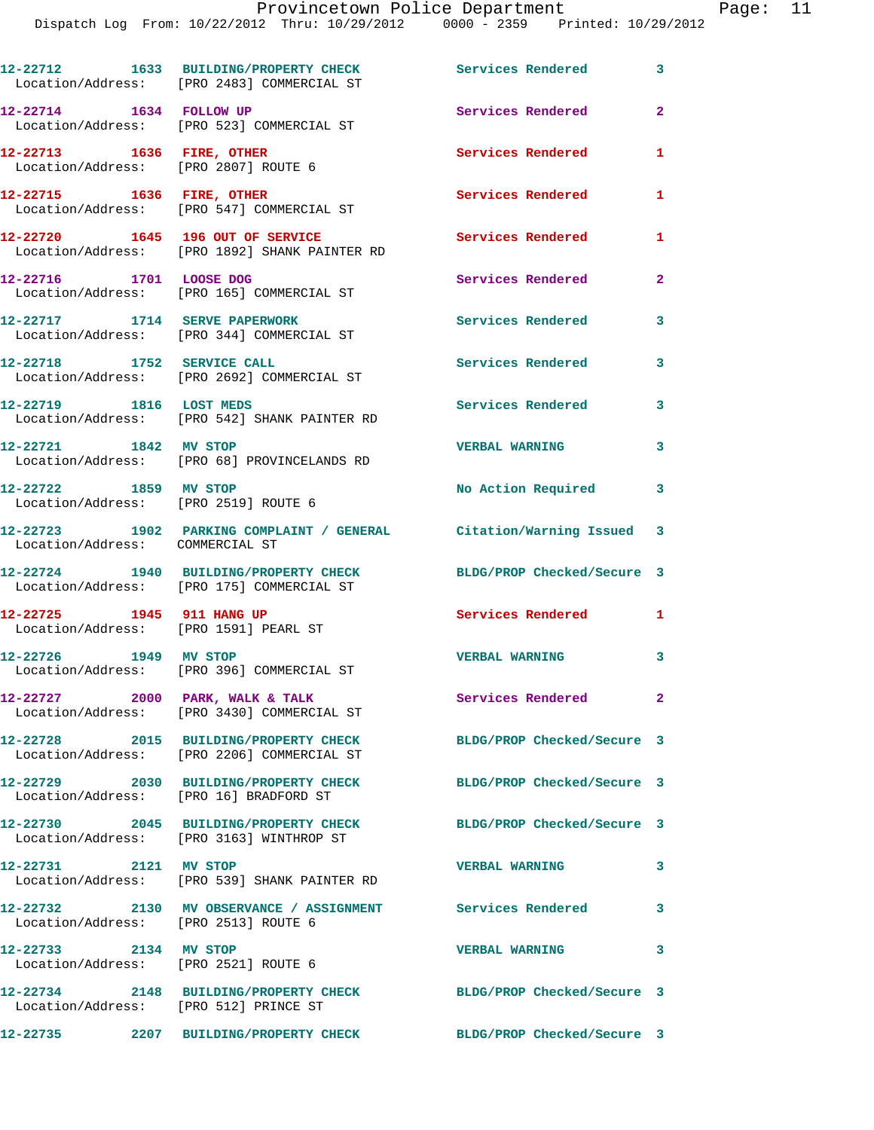Provincetown Police Department Fage: 11 Dispatch Log From: 10/22/2012 Thru: 10/29/2012 0000 - 2359 Printed: 10/29/2012 **12-22712 1633 BUILDING/PROPERTY CHECK Services Rendered 3**  Location/Address: [PRO 2483] COMMERCIAL ST **12-22714 1634 FOLLOW UP Services Rendered 2**  Location/Address: [PRO 523] COMMERCIAL ST **12-22713 1636 FIRE, OTHER Services Rendered 1**  Location/Address: [PRO 2807] ROUTE 6 **12-22715 1636 FIRE, OTHER Services Rendered 1**  Location/Address: [PRO 547] COMMERCIAL ST **12-22720 1645 196 OUT OF SERVICE Services Rendered 1**  Location/Address: [PRO 1892] SHANK PAINTER RD **12-22716 1701 LOOSE DOG Services Rendered 2**  Location/Address: [PRO 165] COMMERCIAL ST **12-22717 1714 SERVE PAPERWORK Services Rendered 3**  Location/Address: [PRO 344] COMMERCIAL ST **12-22718 1752 SERVICE CALL Services Rendered 3**  Location/Address: [PRO 2692] COMMERCIAL ST **12-22719 1816 LOST MEDS Services Rendered 3**  Location/Address: [PRO 542] SHANK PAINTER RD **12-22721 1842 MV STOP VERBAL WARNING 3**  Location/Address: [PRO 68] PROVINCELANDS RD **12-22722 1859 MV STOP No Action Required 3**  Location/Address: [PRO 2519] ROUTE 6 **12-22723 1902 PARKING COMPLAINT / GENERAL Citation/Warning Issued 3**  Location/Address: COMMERCIAL ST

Location/Address: [PRO 175] COMMERCIAL ST

Location/Address: [PRO 1591] PEARL ST

**12-22726 1949 MV STOP VERBAL WARNING 3** 

**12-22730 2045 BUILDING/PROPERTY CHECK BLDG/PROP Checked/Secure 3** 

**12-22732 2130 MV OBSERVANCE / ASSIGNMENT Services Rendered 3**  Location/Address: [PRO 2513] ROUTE 6

**12-22733 2134 MV STOP VERBAL WARNING 3**  Location/Address: [PRO 2521] ROUTE 6

**12-22734 2148 BUILDING/PROPERTY CHECK BLDG/PROP Checked/Secure 3** 

Location/Address: [PRO 512] PRINCE ST

**12-22735 2207 BUILDING/PROPERTY CHECK BLDG/PROP Checked/Secure 3** 

**12-22724 1940 BUILDING/PROPERTY CHECK BLDG/PROP Checked/Secure 3** 

**12-22725 1945 911 HANG UP Services Rendered 1** 

Location/Address: [PRO 396] COMMERCIAL ST

12-22727 2000 PARK, WALK & TALK **Services Rendered** 2 Location/Address: [PRO 3430] COMMERCIAL ST

**12-22728 2015 BUILDING/PROPERTY CHECK BLDG/PROP Checked/Secure 3**  Location/Address: [PRO 2206] COMMERCIAL ST

**12-22729 2030 BUILDING/PROPERTY CHECK BLDG/PROP Checked/Secure 3**  Location/Address: [PRO 16] BRADFORD ST

Location/Address: [PRO 3163] WINTHROP ST

**12-22731 2121 MV STOP VERBAL WARNING 3**  Location/Address: [PRO 539] SHANK PAINTER RD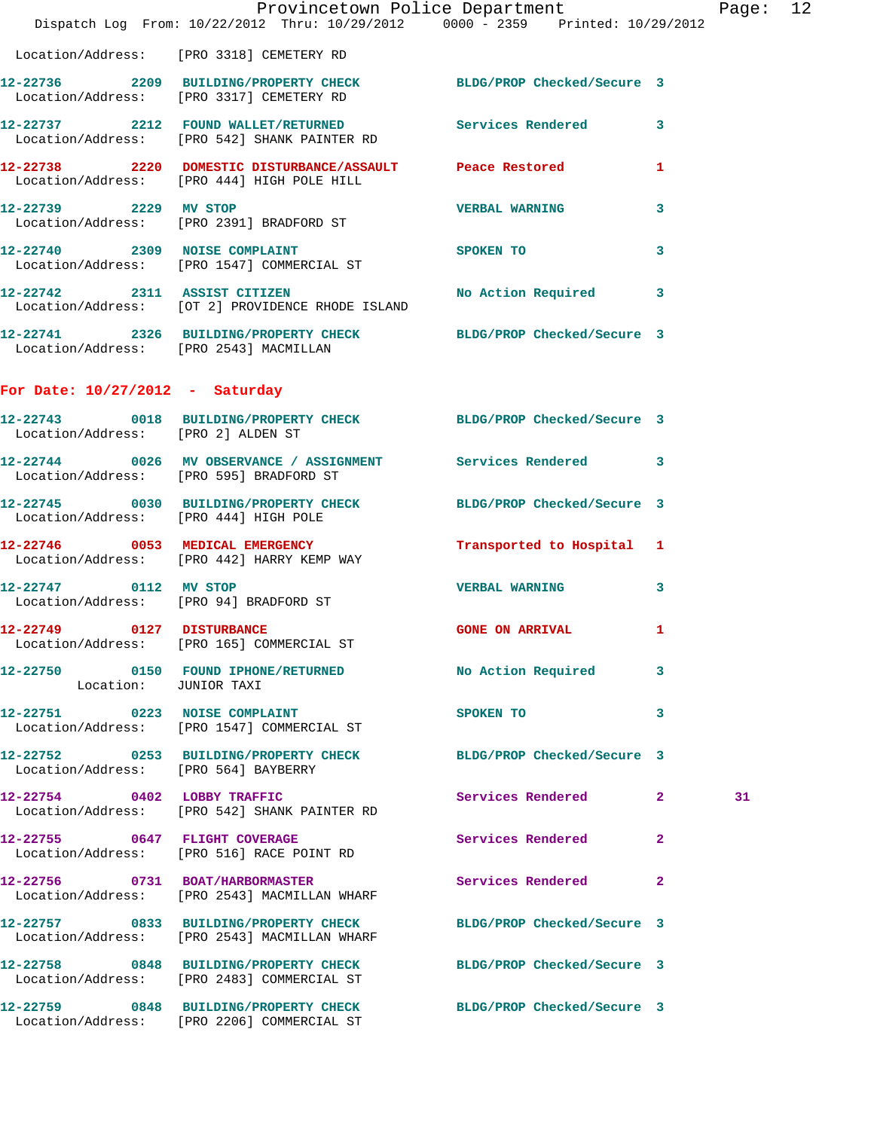|                                        |                                                                                                                  | Provincetown Police Department | Page: 12     |
|----------------------------------------|------------------------------------------------------------------------------------------------------------------|--------------------------------|--------------|
|                                        | Dispatch Log From: 10/22/2012 Thru: 10/29/2012 0000 - 2359 Printed: 10/29/2012                                   |                                |              |
|                                        | Location/Address: [PRO 3318] CEMETERY RD                                                                         |                                |              |
|                                        | 12-22736 2209 BUILDING/PROPERTY CHECK BLDG/PROP Checked/Secure 3<br>Location/Address: [PRO 3317] CEMETERY RD     |                                |              |
|                                        | 12-22737 2212 FOUND WALLET/RETURNED Services Rendered 3<br>Location/Address: [PRO 542] SHANK PAINTER RD          |                                |              |
|                                        | 12-22738 2220 DOMESTIC DISTURBANCE/ASSAULT Peace Restored<br>Location/Address: [PRO 444] HIGH POLE HILL          |                                | $\mathbf{1}$ |
| 12-22739 2229 MV STOP                  | Location/Address: [PRO 2391] BRADFORD ST                                                                         | <b>VERBAL WARNING</b>          | 3            |
|                                        | 12-22740 2309 NOISE COMPLAINT<br>Location/Address: [PRO 1547] COMMERCIAL ST                                      | SPOKEN TO                      | 3            |
|                                        | 12-22742 2311 ASSIST CITIZEN<br>Location/Address: [OT 2] PROVIDENCE RHODE ISLAND                                 | No Action Required 3           |              |
| Location/Address: [PRO 2543] MACMILLAN | 12-22741 2326 BUILDING/PROPERTY CHECK BLDG/PROP Checked/Secure 3                                                 |                                |              |
| For Date: $10/27/2012$ - Saturday      |                                                                                                                  |                                |              |
| Location/Address: [PRO 2] ALDEN ST     | 12-22743 0018 BUILDING/PROPERTY CHECK BLDG/PROP Checked/Secure 3                                                 |                                |              |
|                                        | 12-22744 0026 MV OBSERVANCE / ASSIGNMENT Services Rendered 3<br>Location/Address: [PRO 595] BRADFORD ST          |                                |              |
| Location/Address: [PRO 444] HIGH POLE  | 12-22745 0030 BUILDING/PROPERTY CHECK BLDG/PROP Checked/Secure 3                                                 |                                |              |
|                                        | 12-22746 0053 MEDICAL EMERGENCY<br>Location/Address: [PRO 442] HARRY KEMP WAY                                    | Transported to Hospital 1      |              |
| 12-22747 0112 MV STOP                  | Location/Address: [PRO 94] BRADFORD ST                                                                           | <b>VERBAL WARNING</b>          | 3            |
| 12-22749 0127 DISTURBANCE              | Location/Address: [PRO 165] COMMERCIAL ST                                                                        | <b>GONE ON ARRIVAL</b> 1       |              |
| Location: JUNIOR TAXI                  | 12-22750 0150 FOUND IPHONE/RETURNED                                                                              | No Action Required             | 3            |
|                                        | 12-22751 0223 NOISE COMPLAINT<br>Location/Address: [PRO 1547] COMMERCIAL ST                                      | SPOKEN TO                      | 3            |
|                                        | 12-22752 0253 BUILDING/PROPERTY CHECK BLDG/PROP Checked/Secure 3<br>Location/Address: [PRO 564] BAYBERRY         |                                |              |
|                                        | 12-22754 0402 LOBBY TRAFFIC<br>Location/Address: [PRO 542] SHANK PAINTER RD                                      | Services Rendered 2            | 31           |
| 12-22755 0647 FLIGHT COVERAGE          | Location/Address: [PRO 516] RACE POINT RD                                                                        | Services Rendered              | 2            |
|                                        | 12-22756 0731 BOAT/HARBORMASTER<br>Location/Address: [PRO 2543] MACMILLAN WHARF                                  | Services Rendered              | $\mathbf{2}$ |
|                                        | 12-22757 0833 BUILDING/PROPERTY CHECK BLDG/PROP Checked/Secure 3<br>Location/Address: [PRO 2543] MACMILLAN WHARF |                                |              |
|                                        | 12-22758 0848 BUILDING/PROPERTY CHECK<br>Location/Address: [PRO 2483] COMMERCIAL ST                              | BLDG/PROP Checked/Secure 3     |              |
|                                        | 12-22759 0848 BUILDING/PROPERTY CHECK<br>Location/Address: [PRO 2206] COMMERCIAL ST                              | BLDG/PROP Checked/Secure 3     |              |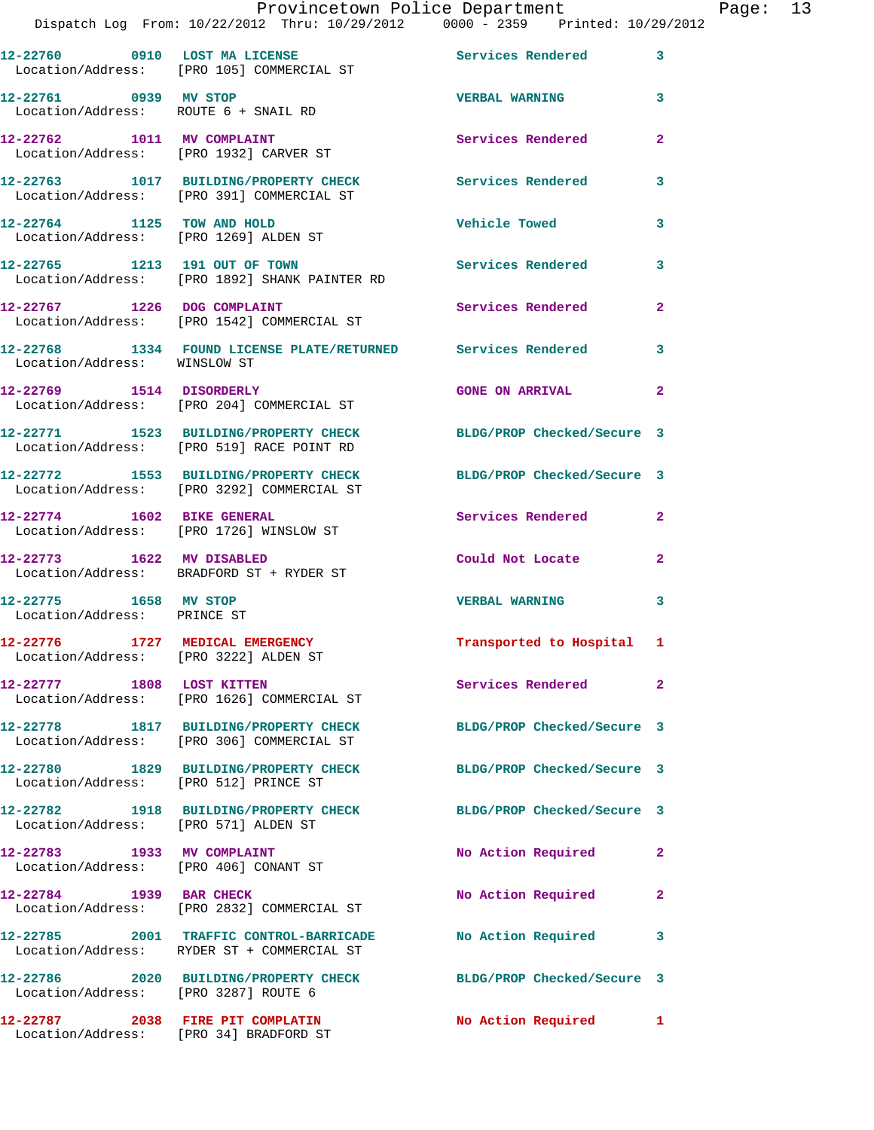|                                                                     | Provincetown Police Department                                                                                 |                            |                |
|---------------------------------------------------------------------|----------------------------------------------------------------------------------------------------------------|----------------------------|----------------|
|                                                                     | Dispatch Log From: 10/22/2012 Thru: 10/29/2012 0000 - 2359 Printed: 10/29/2012                                 |                            |                |
|                                                                     | 12-22760 0910 LOST MA LICENSE<br>Location/Address: [PRO 105] COMMERCIAL ST                                     | Services Rendered          | 3              |
| 12-22761 0939 MV STOP                                               | Location/Address: ROUTE 6 + SNAIL RD                                                                           | <b>VERBAL WARNING</b>      | 3              |
|                                                                     | 12-22762 1011 MV COMPLAINT<br>Location/Address: [PRO 1932] CARVER ST                                           | Services Rendered          | $\mathbf{2}$   |
|                                                                     | 12-22763 1017 BUILDING/PROPERTY CHECK Services Rendered<br>Location/Address: [PRO 391] COMMERCIAL ST           |                            | 3              |
| 12-22764 1125 TOW AND HOLD<br>Location/Address: [PRO 1269] ALDEN ST |                                                                                                                | Vehicle Towed              | 3              |
|                                                                     | 12-22765 1213 191 OUT OF TOWN<br>Location/Address: [PRO 1892] SHANK PAINTER RD                                 | <b>Services Rendered</b>   | 3              |
|                                                                     | 12-22767 1226 DOG COMPLAINT<br>Location/Address: [PRO 1542] COMMERCIAL ST                                      | Services Rendered          | $\mathbf{2}$   |
| Location/Address: WINSLOW ST                                        | 12-22768 1334 FOUND LICENSE PLATE/RETURNED Services Rendered                                                   |                            | 3              |
|                                                                     | 12-22769 1514 DISORDERLY<br>Location/Address: [PRO 204] COMMERCIAL ST                                          | <b>GONE ON ARRIVAL</b>     | $\overline{2}$ |
|                                                                     | 12-22771 1523 BUILDING/PROPERTY CHECK<br>Location/Address: [PRO 519] RACE POINT RD                             | BLDG/PROP Checked/Secure 3 |                |
|                                                                     | 12-22772 1553 BUILDING/PROPERTY CHECK BLDG/PROP Checked/Secure 3<br>Location/Address: [PRO 3292] COMMERCIAL ST |                            |                |
|                                                                     | 12-22774 1602 BIKE GENERAL<br>Location/Address: [PRO 1726] WINSLOW ST                                          | Services Rendered          | $\mathbf{2}$   |
|                                                                     | 12-22773 1622 MV DISABLED<br>Location/Address: BRADFORD ST + RYDER ST                                          | Could Not Locate           | $\mathbf{2}$   |
| 12-22775 1658 MV STOP<br>Location/Address: PRINCE ST                |                                                                                                                | <b>VERBAL WARNING</b>      | 3              |
| Location/Address: [PRO 3222] ALDEN ST                               | 12-22776 1727 MEDICAL EMERGENCY                                                                                | Transported to Hospital 1  |                |
| 12-22777 1808 LOST KITTEN                                           | Location/Address: [PRO 1626] COMMERCIAL ST                                                                     | Services Rendered          | $\mathbf{2}$   |
|                                                                     | 12-22778 1817 BUILDING/PROPERTY CHECK<br>Location/Address: [PRO 306] COMMERCIAL ST                             | BLDG/PROP Checked/Secure 3 |                |
| Location/Address: [PRO 512] PRINCE ST                               | 12-22780 1829 BUILDING/PROPERTY CHECK                                                                          | BLDG/PROP Checked/Secure 3 |                |
| Location/Address: [PRO 571] ALDEN ST                                | 12-22782 1918 BUILDING/PROPERTY CHECK                                                                          | BLDG/PROP Checked/Secure 3 |                |
| 12-22783 1933 MV COMPLAINT<br>Location/Address: [PRO 406] CONANT ST |                                                                                                                | No Action Required         | $\mathbf{2}$   |
| 12-22784 1939 BAR CHECK                                             | Location/Address: [PRO 2832] COMMERCIAL ST                                                                     | No Action Required         | $\mathbf{2}$   |
|                                                                     | 12-22785 2001 TRAFFIC CONTROL-BARRICADE<br>Location/Address: RYDER ST + COMMERCIAL ST                          | No Action Required         | 3              |
| Location/Address: [PRO 3287] ROUTE 6                                | 12-22786 2020 BUILDING/PROPERTY CHECK                                                                          | BLDG/PROP Checked/Secure 3 |                |
|                                                                     | 12-22787 2038 FIRE PIT COMPLATIN<br>Location/Address: [PRO 34] BRADFORD ST                                     | No Action Required         | ı.             |

Page: 13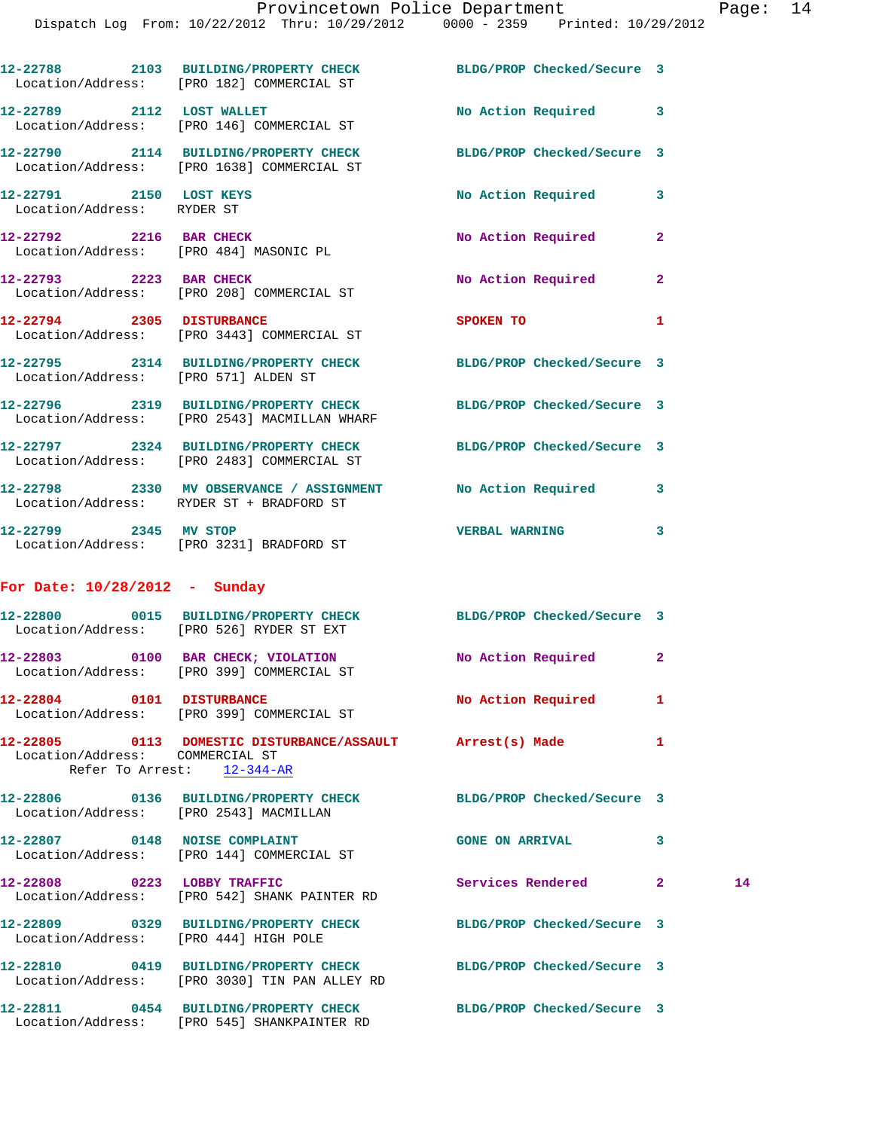|                                                       | 12-22788 2103 BUILDING/PROPERTY CHECK BLDG/PROP Checked/Secure 3<br>Location/Address: [PRO 182] COMMERCIAL ST     |                        |              |    |
|-------------------------------------------------------|-------------------------------------------------------------------------------------------------------------------|------------------------|--------------|----|
|                                                       | 12-22789 2112 LOST WALLET<br>Location/Address: [PRO 146] COMMERCIAL ST                                            | No Action Required 3   |              |    |
|                                                       | 12-22790 2114 BUILDING/PROPERTY CHECK BLDG/PROP Checked/Secure 3<br>Location/Address: [PRO 1638] COMMERCIAL ST    |                        |              |    |
| 12-22791 2150 LOST KEYS<br>Location/Address: RYDER ST |                                                                                                                   | No Action Required     | 3            |    |
|                                                       | 12-22792 2216 BAR CHECK<br>Location/Address: [PRO 484] MASONIC PL                                                 | No Action Required     | $\mathbf{2}$ |    |
|                                                       | 12-22793 2223 BAR CHECK<br>Location/Address: [PRO 208] COMMERCIAL ST                                              | No Action Required 2   |              |    |
|                                                       | 12-22794 2305 DISTURBANCE<br>Location/Address: [PRO 3443] COMMERCIAL ST                                           | SPOKEN TO              | 1            |    |
| Location/Address: [PRO 571] ALDEN ST                  | 12-22795 2314 BUILDING/PROPERTY CHECK BLDG/PROP Checked/Secure 3                                                  |                        |              |    |
|                                                       | 12-22796 2319 BUILDING/PROPERTY CHECK BLDG/PROP Checked/Secure 3<br>Location/Address: [PRO 2543] MACMILLAN WHARF  |                        |              |    |
|                                                       | 12-22797 2324 BUILDING/PROPERTY CHECK BLDG/PROP Checked/Secure 3<br>Location/Address: [PRO 2483] COMMERCIAL ST    |                        |              |    |
|                                                       | 12-22798 2330 MV OBSERVANCE / ASSIGNMENT No Action Required 3<br>Location/Address: RYDER ST + BRADFORD ST         |                        |              |    |
| 12-22799 2345 MV STOP                                 | Location/Address: [PRO 3231] BRADFORD ST                                                                          | VERBAL WARNING 3       |              |    |
| For Date: $10/28/2012$ - Sunday                       |                                                                                                                   |                        |              |    |
|                                                       | 12-22800 0015 BUILDING/PROPERTY CHECK BLDG/PROP Checked/Secure 3<br>Location/Address: [PRO 526] RYDER ST EXT      |                        |              |    |
|                                                       | 12-22803 0100 BAR CHECK; VIOLATION<br>Location/Address: [PRO 399] COMMERCIAL ST                                   | No Action Required 2   |              |    |
|                                                       | 12-22804 0101 DISTURBANCE<br>Location/Address: [PRO 399] COMMERCIAL ST                                            | No Action Required     | 1            |    |
| Location/Address: COMMERCIAL ST                       | 12-22805 0113 DOMESTIC DISTURBANCE/ASSAULT Arrest(s) Made<br>Refer To Arrest: 12-344-AR                           |                        | 1            |    |
| Location/Address: [PRO 2543] MACMILLAN                | 12-22806 0136 BUILDING/PROPERTY CHECK BLDG/PROP Checked/Secure 3                                                  |                        |              |    |
|                                                       | 12-22807 0148 NOISE COMPLAINT<br>Location/Address: [PRO 144] COMMERCIAL ST                                        | <b>GONE ON ARRIVAL</b> | 3            |    |
| 12-22808 0223 LOBBY TRAFFIC                           | Location/Address: [PRO 542] SHANK PAINTER RD                                                                      | Services Rendered 2    |              | 14 |
| Location/Address: [PRO 444] HIGH POLE                 | 12-22809 0329 BUILDING/PROPERTY CHECK BLDG/PROP Checked/Secure 3                                                  |                        |              |    |
|                                                       | 12-22810 0419 BUILDING/PROPERTY CHECK BLDG/PROP Checked/Secure 3<br>Location/Address: [PRO 3030] TIN PAN ALLEY RD |                        |              |    |
|                                                       | 12-22811 0454 BUILDING/PROPERTY CHECK BLDG/PROP Checked/Secure 3                                                  |                        |              |    |

Location/Address: [PRO 545] SHANKPAINTER RD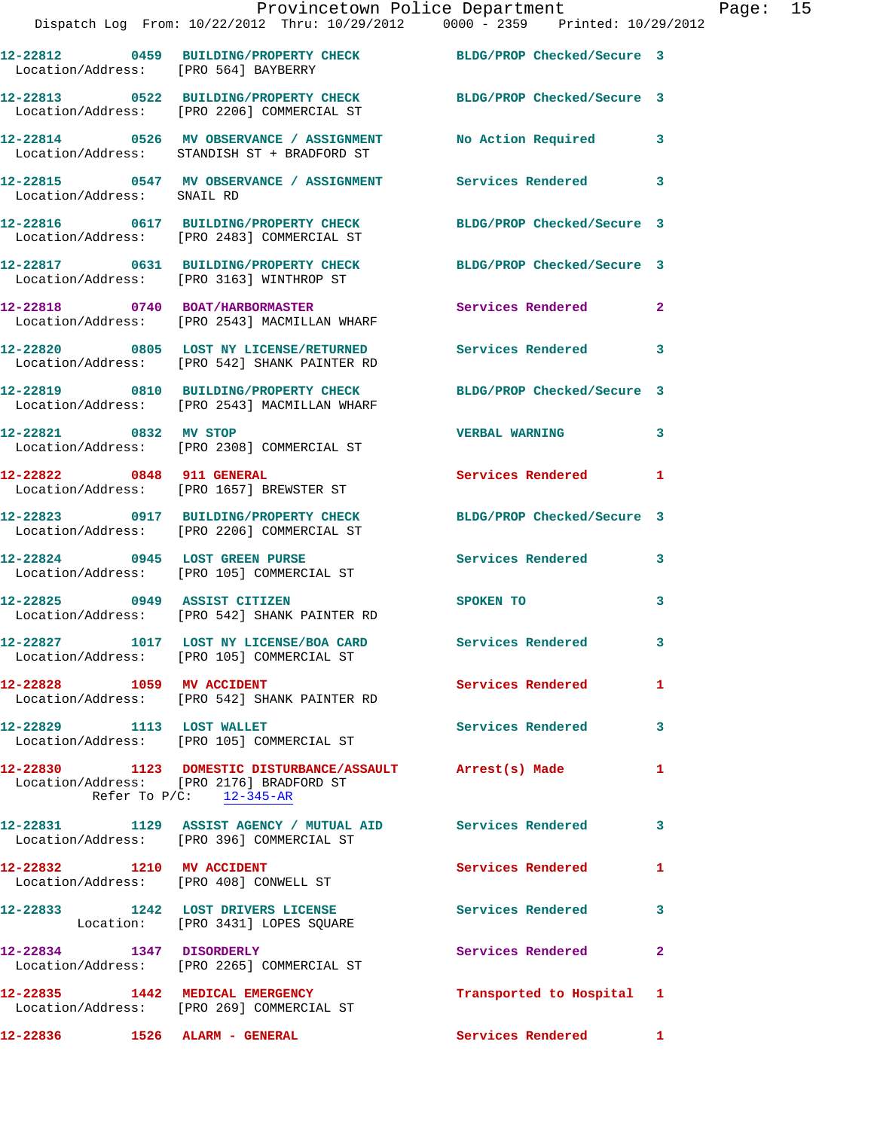|                            | Provincetown Police Department Page: 15<br>Dispatch Log From: 10/22/2012 Thru: 10/29/2012 0000 - 2359 Printed: 10/29/2012 |                           |              |  |
|----------------------------|---------------------------------------------------------------------------------------------------------------------------|---------------------------|--------------|--|
|                            | 12-22812 0459 BUILDING/PROPERTY CHECK BLDG/PROP Checked/Secure 3<br>Location/Address: [PRO 564] BAYBERRY                  |                           |              |  |
|                            | 12-22813 0522 BUILDING/PROPERTY CHECK BLDG/PROP Checked/Secure 3<br>Location/Address: [PRO 2206] COMMERCIAL ST            |                           |              |  |
|                            | 12-22814 0526 MV OBSERVANCE / ASSIGNMENT No Action Required 3<br>Location/Address: STANDISH ST + BRADFORD ST              |                           |              |  |
| Location/Address: SNAIL RD | 12-22815 0547 MV OBSERVANCE / ASSIGNMENT Services Rendered 3                                                              |                           |              |  |
|                            | 12-22816 0617 BUILDING/PROPERTY CHECK BLDG/PROP Checked/Secure 3<br>Location/Address: [PRO 2483] COMMERCIAL ST            |                           |              |  |
|                            | 12-22817 0631 BUILDING/PROPERTY CHECK BLDG/PROP Checked/Secure 3<br>Location/Address: [PRO 3163] WINTHROP ST              |                           |              |  |
|                            | 12-22818 0740 BOAT/HARBORMASTER<br>Location/Address: [PRO 2543] MACMILLAN WHARF                                           | Services Rendered 2       |              |  |
|                            | 12-22820 0805 LOST NY LICENSE/RETURNED Services Rendered 3<br>Location/Address: [PRO 542] SHANK PAINTER RD                |                           |              |  |
|                            | 12-22819 0810 BUILDING/PROPERTY CHECK BLDG/PROP Checked/Secure 3<br>Location/Address: [PRO 2543] MACMILLAN WHARF          |                           |              |  |
| 12-22821 0832 MV STOP      | Location/Address: [PRO 2308] COMMERCIAL ST                                                                                | <b>VERBAL WARNING</b>     | 3            |  |
|                            | 12-22822 0848 911 GENERAL<br>Location/Address: [PRO 1657] BREWSTER ST                                                     | Services Rendered 1       |              |  |
|                            | 12-22823 0917 BUILDING/PROPERTY CHECK BLDG/PROP Checked/Secure 3<br>Location/Address: [PRO 2206] COMMERCIAL ST            |                           |              |  |
|                            | 12-22824 0945 LOST GREEN PURSE<br>Location/Address: [PRO 105] COMMERCIAL ST                                               | Services Rendered 3       |              |  |
|                            | 12-22825 0949 ASSIST CITIZEN<br>Location/Address: [PRO 542] SHANK PAINTER RD                                              | SPOKEN TO                 | 3            |  |
|                            | 12-22827 1017 LOST NY LICENSE/BOA CARD<br>Location/Address: [PRO 105] COMMERCIAL ST                                       | Services Rendered         | 3            |  |
| 12-22828 1059 MV ACCIDENT  | Location/Address: [PRO 542] SHANK PAINTER RD                                                                              | Services Rendered 1       |              |  |
|                            | 12-22829 1113 LOST WALLET<br>Location/Address: [PRO 105] COMMERCIAL ST                                                    | Services Rendered         | 3            |  |
| Refer To $P/C$ : 12-345-AR | 12-22830 1123 DOMESTIC DISTURBANCE/ASSAULT Arrest(s) Made<br>Location/Address: [PRO 2176] BRADFORD ST                     |                           | $\mathbf{1}$ |  |
|                            | 12-22831 1129 ASSIST AGENCY / MUTUAL AID Services Rendered 3<br>Location/Address: [PRO 396] COMMERCIAL ST                 |                           |              |  |
|                            | 12-22832 1210 MV ACCIDENT<br>Location/Address: [PRO 408] CONWELL ST                                                       | <b>Services Rendered</b>  | 1            |  |
|                            | 12-22833 1242 LOST DRIVERS LICENSE<br>Location: [PRO 3431] LOPES SQUARE                                                   | Services Rendered 3       |              |  |
|                            | 12-22834 1347 DISORDERLY<br>Location/Address: [PRO 2265] COMMERCIAL ST                                                    | Services Rendered         | -2           |  |
|                            | 12-22835 1442 MEDICAL EMERGENCY<br>Location/Address: [PRO 269] COMMERCIAL ST                                              | Transported to Hospital 1 |              |  |
|                            |                                                                                                                           | Services Rendered 1       |              |  |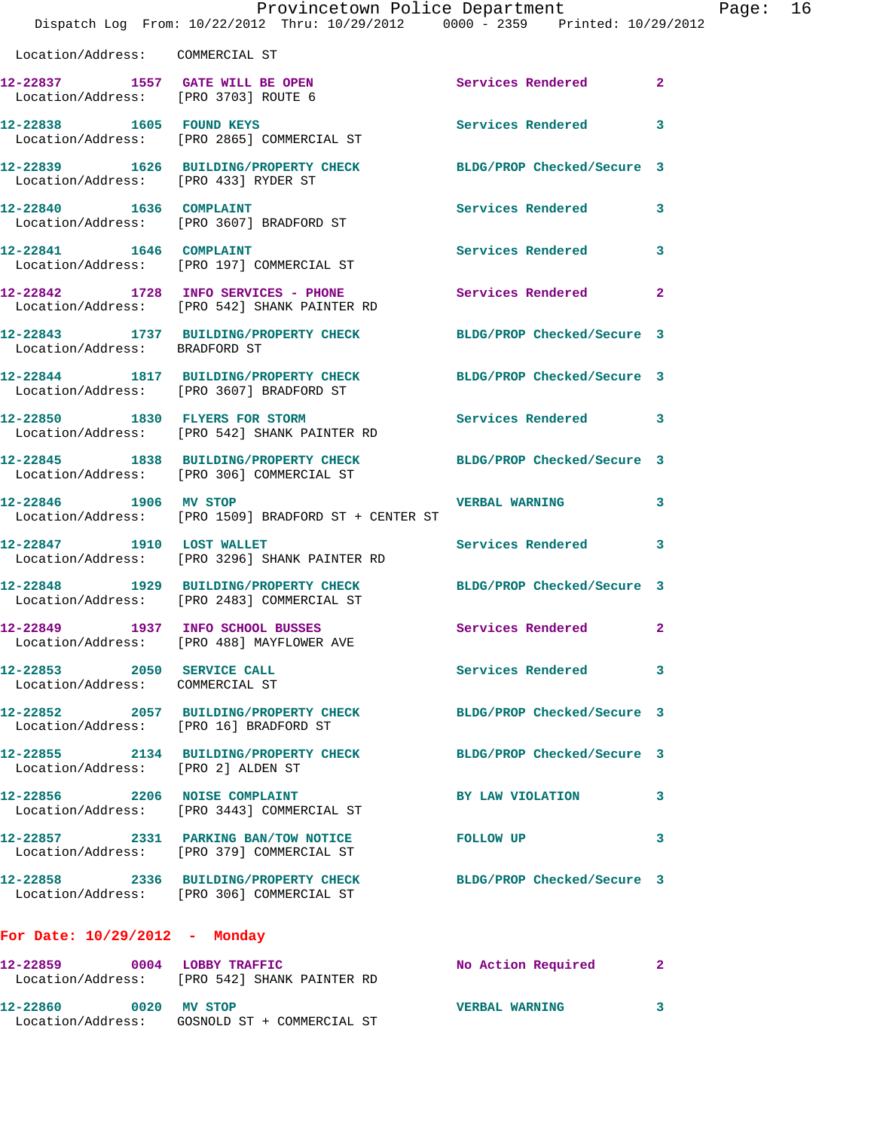|                                                               | Provincetown Police Department<br>Dispatch Log From: 10/22/2012 Thru: 10/29/2012 0000 - 2359 Printed: 10/29/2012 |                            |              |
|---------------------------------------------------------------|------------------------------------------------------------------------------------------------------------------|----------------------------|--------------|
| Location/Address: COMMERCIAL ST                               |                                                                                                                  |                            |              |
| Location/Address: [PRO 3703] ROUTE 6                          | 12-22837 1557 GATE WILL BE OPEN                                                                                  | Services Rendered          | $\mathbf{2}$ |
| 12-22838 1605 FOUND KEYS                                      | Location/Address: [PRO 2865] COMMERCIAL ST                                                                       | Services Rendered          | 3            |
| Location/Address: [PRO 433] RYDER ST                          | 12-22839 1626 BUILDING/PROPERTY CHECK                                                                            | BLDG/PROP Checked/Secure 3 |              |
| 12-22840 1636 COMPLAINT                                       | Location/Address: [PRO 3607] BRADFORD ST                                                                         | Services Rendered          | 3            |
| 12-22841 1646 COMPLAINT                                       | Location/Address: [PRO 197] COMMERCIAL ST                                                                        | Services Rendered          | 3            |
|                                                               | 12-22842 1728 INFO SERVICES - PHONE<br>Location/Address: [PRO 542] SHANK PAINTER RD                              | Services Rendered          | $\mathbf{2}$ |
| Location/Address: BRADFORD ST                                 | 12-22843 1737 BUILDING/PROPERTY CHECK                                                                            | BLDG/PROP Checked/Secure 3 |              |
|                                                               | 12-22844 1817 BUILDING/PROPERTY CHECK<br>Location/Address: [PRO 3607] BRADFORD ST                                | BLDG/PROP Checked/Secure 3 |              |
|                                                               | 12-22850 1830 FLYERS FOR STORM<br>Location/Address: [PRO 542] SHANK PAINTER RD                                   | Services Rendered 3        |              |
|                                                               | 12-22845 1838 BUILDING/PROPERTY CHECK<br>Location/Address: [PRO 306] COMMERCIAL ST                               | BLDG/PROP Checked/Secure 3 |              |
| 12-22846 1906 MV STOP                                         | Location/Address: [PRO 1509] BRADFORD ST + CENTER ST                                                             | <b>VERBAL WARNING</b>      | 3            |
| 12-22847 1910 LOST WALLET                                     | Location/Address: [PRO 3296] SHANK PAINTER RD                                                                    | Services Rendered          | 3            |
|                                                               | 12-22848 1929 BUILDING/PROPERTY CHECK<br>Location/Address: [PRO 2483] COMMERCIAL ST                              | BLDG/PROP Checked/Secure 3 |              |
| 12-22849                                                      | 1937 INFO SCHOOL BUSSES<br>Location/Address: [PRO 488] MAYFLOWER AVE                                             | Services Rendered          | $\mathbf{2}$ |
| 12-22853 2050 SERVICE CALL<br>Location/Address: COMMERCIAL ST |                                                                                                                  | Services Rendered 3        |              |
| Location/Address: [PRO 16] BRADFORD ST                        | 12-22852 2057 BUILDING/PROPERTY CHECK                                                                            | BLDG/PROP Checked/Secure 3 |              |
| Location/Address: [PRO 2] ALDEN ST                            | 12-22855 2134 BUILDING/PROPERTY CHECK BLDG/PROP Checked/Secure 3                                                 |                            |              |
|                                                               | 12-22856 2206 NOISE COMPLAINT<br>Location/Address: [PRO 3443] COMMERCIAL ST                                      | BY LAW VIOLATION           | 3            |
|                                                               | 12-22857 2331 PARKING BAN/TOW NOTICE<br>Location/Address: [PRO 379] COMMERCIAL ST                                | <b>FOLLOW UP</b>           | 3            |
|                                                               | 12-22858 2336 BUILDING/PROPERTY CHECK BLDG/PROP Checked/Secure 3<br>Location/Address: [PRO 306] COMMERCIAL ST    |                            |              |
| For Date: $10/29/2012$ - Monday                               |                                                                                                                  |                            |              |
|                                                               | 12-22859 0004 LOBBY TRAFFIC<br>Location/Address: [PRO 542] SHANK PAINTER RD                                      | No Action Required         | 2            |
| 12-22860 0020 MV STOP                                         | Location/Address: GOSNOLD ST + COMMERCIAL ST                                                                     | <b>VERBAL WARNING</b>      | 3            |

Page: 16